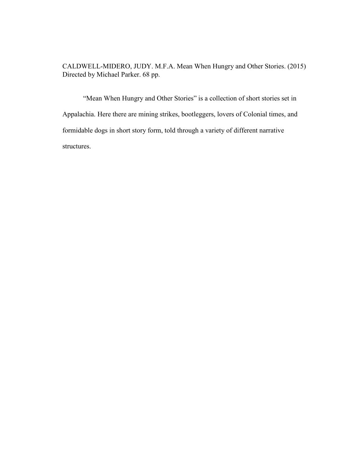CALDWELL-MIDERO, JUDY. M.F.A. Mean When Hungry and Other Stories. (2015) Directed by Michael Parker. 68 pp.

"Mean When Hungry and Other Stories" is a collection of short stories set in Appalachia. Here there are mining strikes, bootleggers, lovers of Colonial times, and formidable dogs in short story form, told through a variety of different narrative structures.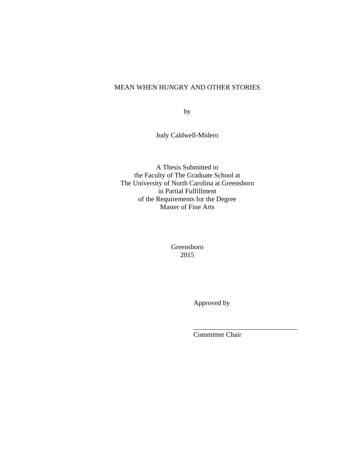# MEAN WHEN HUNGRY AND OTHER STORIES

by

Judy Caldwell-Midero

A Thesis Submitted to the Faculty of The Graduate School at The University of North Carolina at Greensboro in Partial Fulfillment of the Requirements for the Degree Master of Fine Arts

> Greensboro 2015

 $\overline{\phantom{a}}$  , and the contract of the contract of the contract of the contract of the contract of the contract of the contract of the contract of the contract of the contract of the contract of the contract of the contrac

Approved by

Committee Chair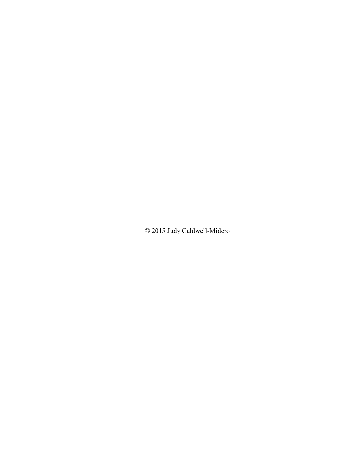© 2015 Judy Caldwell-Midero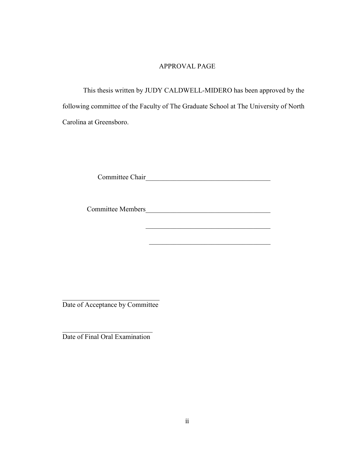# APPROVAL PAGE

This thesis written by JUDY CALDWELL-MIDERO has been approved by the following committee of the Faculty of The Graduate School at The University of North Carolina at Greensboro.

Committee Chair\_\_\_\_\_\_\_\_\_\_\_\_\_\_\_\_\_\_\_\_\_\_\_\_\_\_\_\_\_\_\_\_\_\_\_\_

Committee Members\_\_\_\_\_\_\_\_\_\_\_\_\_\_\_\_\_\_\_\_\_\_\_\_\_\_\_\_\_\_\_\_\_\_\_\_

 $\mathcal{L}_\text{max}$  and  $\mathcal{L}_\text{max}$  and  $\mathcal{L}_\text{max}$  and  $\mathcal{L}_\text{max}$  and  $\mathcal{L}_\text{max}$ 

\_\_\_\_\_\_\_\_\_\_\_\_\_\_\_\_\_\_\_\_\_\_\_\_\_\_\_\_\_\_\_\_\_\_\_\_

\_\_\_\_\_\_\_\_\_\_\_\_\_\_\_\_\_\_\_\_\_\_\_\_\_\_\_\_ Date of Acceptance by Committee

\_\_\_\_\_\_\_\_\_\_\_\_\_\_\_\_\_\_\_\_\_\_\_\_\_\_ Date of Final Oral Examination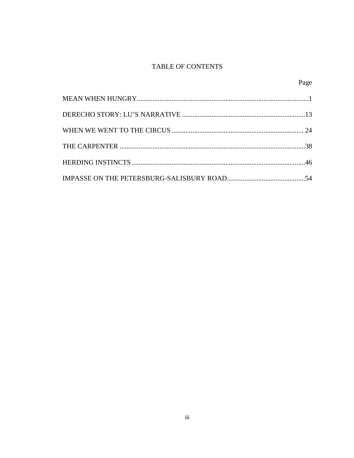# TABLE OF CONTENTS

| Page |
|------|
|      |
|      |
|      |
|      |
|      |
|      |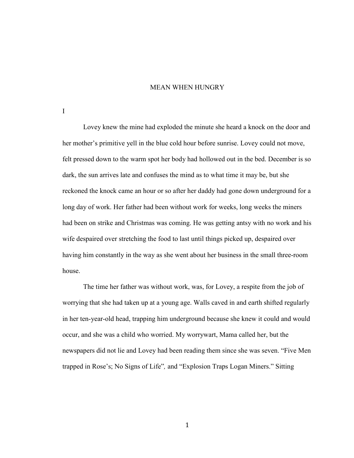#### MEAN WHEN HUNGRY

I

Lovey knew the mine had exploded the minute she heard a knock on the door and her mother's primitive yell in the blue cold hour before sunrise. Lovey could not move, felt pressed down to the warm spot her body had hollowed out in the bed. December is so dark, the sun arrives late and confuses the mind as to what time it may be, but she reckoned the knock came an hour or so after her daddy had gone down underground for a long day of work. Her father had been without work for weeks, long weeks the miners had been on strike and Christmas was coming. He was getting antsy with no work and his wife despaired over stretching the food to last until things picked up, despaired over having him constantly in the way as she went about her business in the small three-room house.

The time her father was without work, was, for Lovey, a respite from the job of worrying that she had taken up at a young age. Walls caved in and earth shifted regularly in her ten-year-old head, trapping him underground because she knew it could and would occur, and she was a child who worried. My worrywart, Mama called her, but the newspapers did not lie and Lovey had been reading them since she was seven. "Five Men trapped in Rose's; No Signs of Life"*,* and "Explosion Traps Logan Miners." Sitting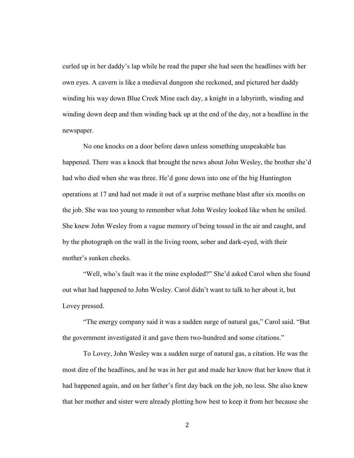curled up in her daddy's lap while he read the paper she had seen the headlines with her own eyes. A cavern is like a medieval dungeon she reckoned, and pictured her daddy winding his way down Blue Creek Mine each day, a knight in a labyrinth, winding and winding down deep and then winding back up at the end of the day, not a headline in the newspaper.

No one knocks on a door before dawn unless something unspeakable has happened. There was a knock that brought the news about John Wesley, the brother she'd had who died when she was three. He'd gone down into one of the big Huntington operations at 17 and had not made it out of a surprise methane blast after six months on the job. She was too young to remember what John Wesley looked like when he smiled. She knew John Wesley from a vague memory of being tossed in the air and caught, and by the photograph on the wall in the living room, sober and dark-eyed, with their mother's sunken cheeks.

"Well, who's fault was it the mine exploded?" She'd asked Carol when she found out what had happened to John Wesley. Carol didn't want to talk to her about it, but Lovey pressed.

"The energy company said it was a sudden surge of natural gas," Carol said. "But the government investigated it and gave them two-hundred and some citations."

To Lovey, John Wesley was a sudden surge of natural gas, a citation. He was the most dire of the headlines, and he was in her gut and made her know that her know that it had happened again, and on her father's first day back on the job, no less. She also knew that her mother and sister were already plotting how best to keep it from her because she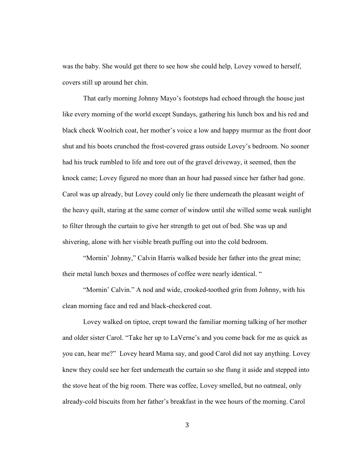was the baby. She would get there to see how she could help, Lovey vowed to herself, covers still up around her chin.

That early morning Johnny Mayo's footsteps had echoed through the house just like every morning of the world except Sundays, gathering his lunch box and his red and black check Woolrich coat, her mother's voice a low and happy murmur as the front door shut and his boots crunched the frost-covered grass outside Lovey's bedroom. No sooner had his truck rumbled to life and tore out of the gravel driveway, it seemed, then the knock came; Lovey figured no more than an hour had passed since her father had gone. Carol was up already, but Lovey could only lie there underneath the pleasant weight of the heavy quilt, staring at the same corner of window until she willed some weak sunlight to filter through the curtain to give her strength to get out of bed. She was up and shivering, alone with her visible breath puffing out into the cold bedroom.

"Mornin' Johnny," Calvin Harris walked beside her father into the great mine; their metal lunch boxes and thermoses of coffee were nearly identical. "

"Mornin' Calvin." A nod and wide, crooked-toothed grin from Johnny, with his clean morning face and red and black-checkered coat.

Lovey walked on tiptoe, crept toward the familiar morning talking of her mother and older sister Carol. "Take her up to LaVerne's and you come back for me as quick as you can, hear me?" Lovey heard Mama say, and good Carol did not say anything. Lovey knew they could see her feet underneath the curtain so she flung it aside and stepped into the stove heat of the big room. There was coffee, Lovey smelled, but no oatmeal, only already-cold biscuits from her father's breakfast in the wee hours of the morning. Carol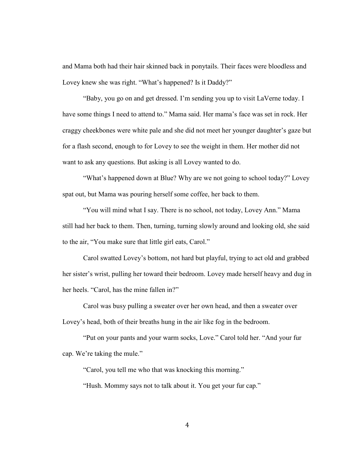and Mama both had their hair skinned back in ponytails. Their faces were bloodless and Lovey knew she was right. "What's happened? Is it Daddy?"

"Baby, you go on and get dressed. I'm sending you up to visit LaVerne today. I have some things I need to attend to." Mama said. Her mama's face was set in rock. Her craggy cheekbones were white pale and she did not meet her younger daughter's gaze but for a flash second, enough to for Lovey to see the weight in them. Her mother did not want to ask any questions. But asking is all Lovey wanted to do.

"What's happened down at Blue? Why are we not going to school today?" Lovey spat out, but Mama was pouring herself some coffee, her back to them.

"You will mind what I say. There is no school, not today, Lovey Ann." Mama still had her back to them. Then, turning, turning slowly around and looking old, she said to the air, "You make sure that little girl eats, Carol."

Carol swatted Lovey's bottom, not hard but playful, trying to act old and grabbed her sister's wrist, pulling her toward their bedroom. Lovey made herself heavy and dug in her heels. "Carol, has the mine fallen in?"

Carol was busy pulling a sweater over her own head, and then a sweater over Lovey's head, both of their breaths hung in the air like fog in the bedroom.

"Put on your pants and your warm socks, Love." Carol told her. "And your fur cap. We're taking the mule."

"Carol, you tell me who that was knocking this morning."

"Hush. Mommy says not to talk about it. You get your fur cap."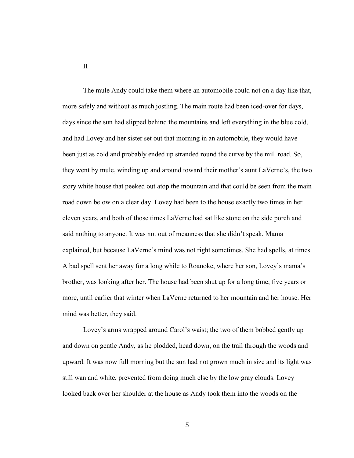The mule Andy could take them where an automobile could not on a day like that, more safely and without as much jostling. The main route had been iced-over for days, days since the sun had slipped behind the mountains and left everything in the blue cold, and had Lovey and her sister set out that morning in an automobile, they would have been just as cold and probably ended up stranded round the curve by the mill road. So, they went by mule, winding up and around toward their mother's aunt LaVerne's, the two story white house that peeked out atop the mountain and that could be seen from the main road down below on a clear day. Lovey had been to the house exactly two times in her eleven years, and both of those times LaVerne had sat like stone on the side porch and said nothing to anyone. It was not out of meanness that she didn't speak, Mama explained, but because LaVerne's mind was not right sometimes. She had spells, at times. A bad spell sent her away for a long while to Roanoke, where her son, Lovey's mama's brother, was looking after her. The house had been shut up for a long time, five years or more, until earlier that winter when LaVerne returned to her mountain and her house. Her mind was better, they said.

Lovey's arms wrapped around Carol's waist; the two of them bobbed gently up and down on gentle Andy, as he plodded, head down, on the trail through the woods and upward. It was now full morning but the sun had not grown much in size and its light was still wan and white, prevented from doing much else by the low gray clouds. Lovey looked back over her shoulder at the house as Andy took them into the woods on the

II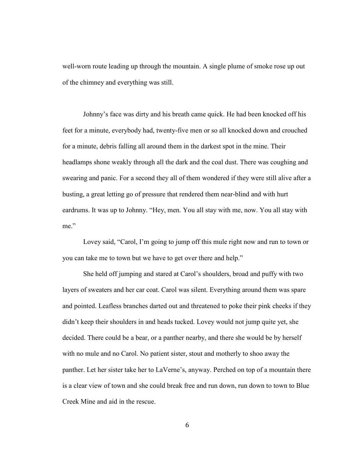well-worn route leading up through the mountain. A single plume of smoke rose up out of the chimney and everything was still.

Johnny's face was dirty and his breath came quick. He had been knocked off his feet for a minute, everybody had, twenty-five men or so all knocked down and crouched for a minute, debris falling all around them in the darkest spot in the mine. Their headlamps shone weakly through all the dark and the coal dust. There was coughing and swearing and panic. For a second they all of them wondered if they were still alive after a busting, a great letting go of pressure that rendered them near-blind and with hurt eardrums. It was up to Johnny. "Hey, men. You all stay with me, now. You all stay with me"

Lovey said, "Carol, I'm going to jump off this mule right now and run to town or you can take me to town but we have to get over there and help."

She held off jumping and stared at Carol's shoulders, broad and puffy with two layers of sweaters and her car coat. Carol was silent. Everything around them was spare and pointed. Leafless branches darted out and threatened to poke their pink cheeks if they didn't keep their shoulders in and heads tucked. Lovey would not jump quite yet, she decided. There could be a bear, or a panther nearby, and there she would be by herself with no mule and no Carol. No patient sister, stout and motherly to shoo away the panther. Let her sister take her to LaVerne's, anyway. Perched on top of a mountain there is a clear view of town and she could break free and run down, run down to town to Blue Creek Mine and aid in the rescue.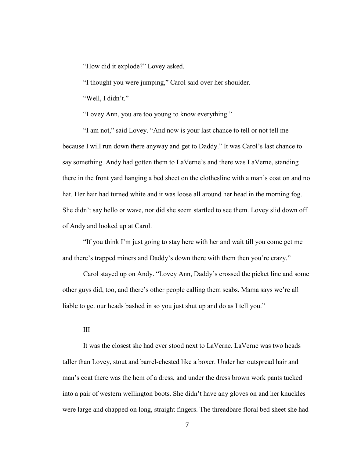"How did it explode?" Lovey asked.

"I thought you were jumping," Carol said over her shoulder.

"Well, I didn't."

"Lovey Ann, you are too young to know everything."

"I am not," said Lovey. "And now is your last chance to tell or not tell me because I will run down there anyway and get to Daddy." It was Carol's last chance to say something. Andy had gotten them to LaVerne's and there was LaVerne, standing there in the front yard hanging a bed sheet on the clothesline with a man's coat on and no hat. Her hair had turned white and it was loose all around her head in the morning fog. She didn't say hello or wave, nor did she seem startled to see them. Lovey slid down off of Andy and looked up at Carol.

"If you think I'm just going to stay here with her and wait till you come get me and there's trapped miners and Daddy's down there with them then you're crazy."

Carol stayed up on Andy. "Lovey Ann, Daddy's crossed the picket line and some other guys did, too, and there's other people calling them scabs. Mama says we're all liable to get our heads bashed in so you just shut up and do as I tell you."

## III

 It was the closest she had ever stood next to LaVerne. LaVerne was two heads taller than Lovey, stout and barrel-chested like a boxer. Under her outspread hair and man's coat there was the hem of a dress, and under the dress brown work pants tucked into a pair of western wellington boots. She didn't have any gloves on and her knuckles were large and chapped on long, straight fingers. The threadbare floral bed sheet she had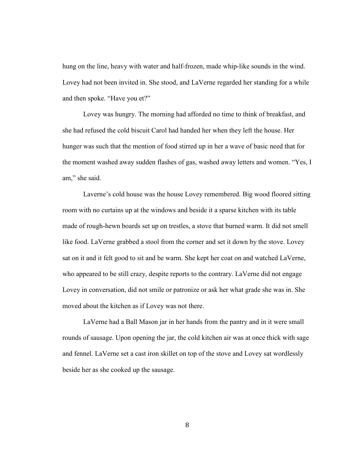hung on the line, heavy with water and half-frozen, made whip-like sounds in the wind. Lovey had not been invited in. She stood, and LaVerne regarded her standing for a while and then spoke. "Have you et?"

Lovey was hungry. The morning had afforded no time to think of breakfast, and she had refused the cold biscuit Carol had handed her when they left the house. Her hunger was such that the mention of food stirred up in her a wave of basic need that for the moment washed away sudden flashes of gas, washed away letters and women. "Yes, I am," she said.

Laverne's cold house was the house Lovey remembered. Big wood floored sitting room with no curtains up at the windows and beside it a sparse kitchen with its table made of rough-hewn boards set up on trestles, a stove that burned warm. It did not smell like food. LaVerne grabbed a stool from the corner and set it down by the stove. Lovey sat on it and it felt good to sit and be warm. She kept her coat on and watched LaVerne, who appeared to be still crazy, despite reports to the contrary. LaVerne did not engage Lovey in conversation, did not smile or patronize or ask her what grade she was in. She moved about the kitchen as if Lovey was not there.

LaVerne had a Ball Mason jar in her hands from the pantry and in it were small rounds of sausage. Upon opening the jar, the cold kitchen air was at once thick with sage and fennel. LaVerne set a cast iron skillet on top of the stove and Lovey sat wordlessly beside her as she cooked up the sausage.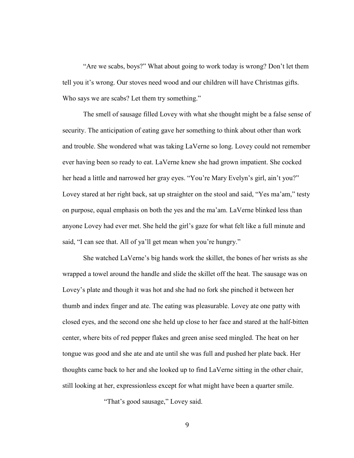"Are we scabs, boys?" What about going to work today is wrong? Don't let them tell you it's wrong. Our stoves need wood and our children will have Christmas gifts. Who says we are scabs? Let them try something."

The smell of sausage filled Lovey with what she thought might be a false sense of security. The anticipation of eating gave her something to think about other than work and trouble. She wondered what was taking LaVerne so long. Lovey could not remember ever having been so ready to eat. LaVerne knew she had grown impatient. She cocked her head a little and narrowed her gray eyes. "You're Mary Evelyn's girl, ain't you?" Lovey stared at her right back, sat up straighter on the stool and said, "Yes ma'am," testy on purpose, equal emphasis on both the yes and the ma'am. LaVerne blinked less than anyone Lovey had ever met. She held the girl's gaze for what felt like a full minute and said, "I can see that. All of ya'll get mean when you're hungry."

She watched LaVerne's big hands work the skillet, the bones of her wrists as she wrapped a towel around the handle and slide the skillet off the heat. The sausage was on Lovey's plate and though it was hot and she had no fork she pinched it between her thumb and index finger and ate. The eating was pleasurable. Lovey ate one patty with closed eyes, and the second one she held up close to her face and stared at the half-bitten center, where bits of red pepper flakes and green anise seed mingled. The heat on her tongue was good and she ate and ate until she was full and pushed her plate back. Her thoughts came back to her and she looked up to find LaVerne sitting in the other chair, still looking at her, expressionless except for what might have been a quarter smile.

"That's good sausage," Lovey said.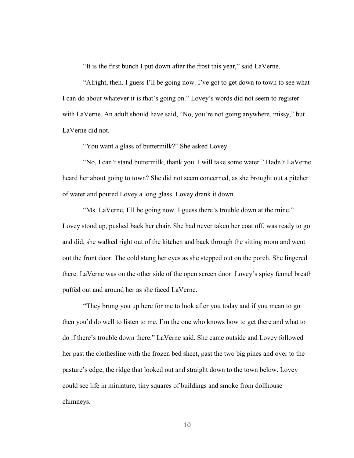"It is the first bunch I put down after the frost this year," said LaVerne.

"Alright, then. I guess I'll be going now. I've got to get down to town to see what I can do about whatever it is that's going on." Lovey's words did not seem to register with LaVerne. An adult should have said, "No, you're not going anywhere, missy," but LaVerne did not.

"You want a glass of buttermilk?" She asked Lovey.

"No, I can't stand buttermilk, thank you. I will take some water." Hadn't LaVerne heard her about going to town? She did not seem concerned, as she brought out a pitcher of water and poured Lovey a long glass. Lovey drank it down.

"Ms. LaVerne, I'll be going now. I guess there's trouble down at the mine." Lovey stood up, pushed back her chair. She had never taken her coat off, was ready to go and did, she walked right out of the kitchen and back through the sitting room and went out the front door. The cold stung her eyes as she stepped out on the porch. She lingered there. LaVerne was on the other side of the open screen door. Lovey's spicy fennel breath puffed out and around her as she faced LaVerne.

"They brung you up here for me to look after you today and if you mean to go then you'd do well to listen to me. I'm the one who knows how to get there and what to do if there's trouble down there." LaVerne said. She came outside and Lovey followed her past the clothesline with the frozen bed sheet, past the two big pines and over to the pasture's edge, the ridge that looked out and straight down to the town below. Lovey could see life in miniature, tiny squares of buildings and smoke from dollhouse chimneys.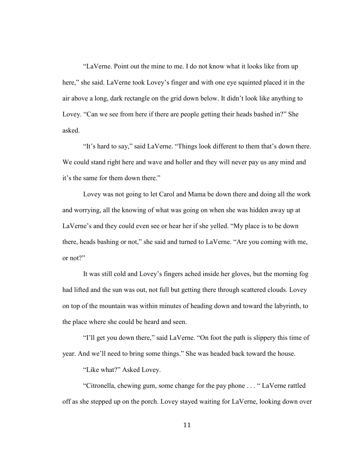"LaVerne. Point out the mine to me. I do not know what it looks like from up here," she said. LaVerne took Lovey's finger and with one eye squinted placed it in the air above a long, dark rectangle on the grid down below. It didn't look like anything to Lovey. "Can we see from here if there are people getting their heads bashed in?" She asked.

"It's hard to say," said LaVerne. "Things look different to them that's down there. We could stand right here and wave and holler and they will never pay us any mind and it's the same for them down there."

Lovey was not going to let Carol and Mama be down there and doing all the work and worrying, all the knowing of what was going on when she was hidden away up at LaVerne's and they could even see or hear her if she yelled. "My place is to be down there, heads bashing or not," she said and turned to LaVerne. "Are you coming with me, or not?"

It was still cold and Lovey's fingers ached inside her gloves, but the morning fog had lifted and the sun was out, not full but getting there through scattered clouds. Lovey on top of the mountain was within minutes of heading down and toward the labyrinth, to the place where she could be heard and seen.

"I'll get you down there," said LaVerne. "On foot the path is slippery this time of year. And we'll need to bring some things." She was headed back toward the house.

"Like what?" Asked Lovey.

"Citronella, chewing gum, some change for the pay phone . . . " LaVerne rattled off as she stepped up on the porch. Lovey stayed waiting for LaVerne, looking down over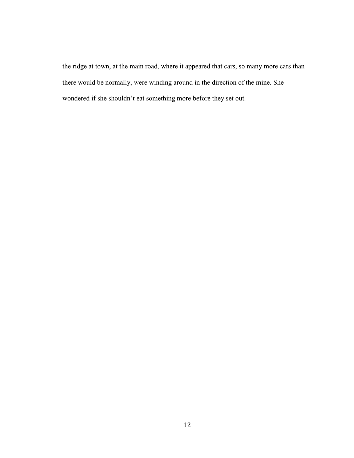the ridge at town, at the main road, where it appeared that cars, so many more cars than there would be normally, were winding around in the direction of the mine. She wondered if she shouldn't eat something more before they set out.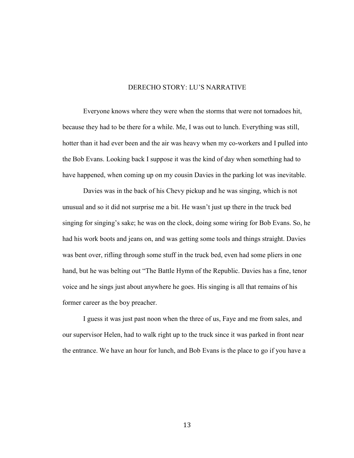## DERECHO STORY: LU'S NARRATIVE

Everyone knows where they were when the storms that were not tornadoes hit, because they had to be there for a while. Me, I was out to lunch. Everything was still, hotter than it had ever been and the air was heavy when my co-workers and I pulled into the Bob Evans. Looking back I suppose it was the kind of day when something had to have happened, when coming up on my cousin Davies in the parking lot was inevitable.

Davies was in the back of his Chevy pickup and he was singing, which is not unusual and so it did not surprise me a bit. He wasn't just up there in the truck bed singing for singing's sake; he was on the clock, doing some wiring for Bob Evans. So, he had his work boots and jeans on, and was getting some tools and things straight. Davies was bent over, rifling through some stuff in the truck bed, even had some pliers in one hand, but he was belting out "The Battle Hymn of the Republic. Davies has a fine, tenor voice and he sings just about anywhere he goes. His singing is all that remains of his former career as the boy preacher.

I guess it was just past noon when the three of us, Faye and me from sales, and our supervisor Helen, had to walk right up to the truck since it was parked in front near the entrance. We have an hour for lunch, and Bob Evans is the place to go if you have a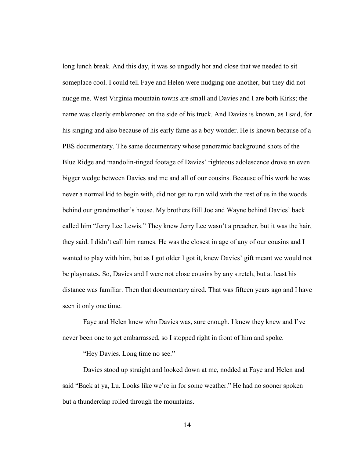long lunch break. And this day, it was so ungodly hot and close that we needed to sit someplace cool. I could tell Faye and Helen were nudging one another, but they did not nudge me. West Virginia mountain towns are small and Davies and I are both Kirks; the name was clearly emblazoned on the side of his truck. And Davies is known, as I said, for his singing and also because of his early fame as a boy wonder. He is known because of a PBS documentary. The same documentary whose panoramic background shots of the Blue Ridge and mandolin-tinged footage of Davies' righteous adolescence drove an even bigger wedge between Davies and me and all of our cousins. Because of his work he was never a normal kid to begin with, did not get to run wild with the rest of us in the woods behind our grandmother's house. My brothers Bill Joe and Wayne behind Davies' back called him "Jerry Lee Lewis." They knew Jerry Lee wasn't a preacher, but it was the hair, they said. I didn't call him names. He was the closest in age of any of our cousins and I wanted to play with him, but as I got older I got it, knew Davies' gift meant we would not be playmates. So, Davies and I were not close cousins by any stretch, but at least his distance was familiar. Then that documentary aired. That was fifteen years ago and I have seen it only one time.

Faye and Helen knew who Davies was, sure enough. I knew they knew and I've never been one to get embarrassed, so I stopped right in front of him and spoke.

"Hey Davies. Long time no see."

Davies stood up straight and looked down at me, nodded at Faye and Helen and said "Back at ya, Lu. Looks like we're in for some weather." He had no sooner spoken but a thunderclap rolled through the mountains.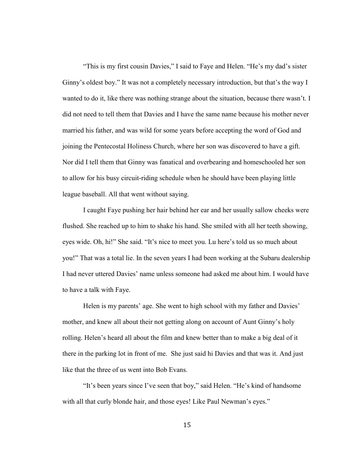"This is my first cousin Davies," I said to Faye and Helen. "He's my dad's sister Ginny's oldest boy." It was not a completely necessary introduction, but that's the way I wanted to do it, like there was nothing strange about the situation, because there wasn't. I did not need to tell them that Davies and I have the same name because his mother never married his father, and was wild for some years before accepting the word of God and joining the Pentecostal Holiness Church, where her son was discovered to have a gift. Nor did I tell them that Ginny was fanatical and overbearing and homeschooled her son to allow for his busy circuit-riding schedule when he should have been playing little league baseball. All that went without saying.

I caught Faye pushing her hair behind her ear and her usually sallow cheeks were flushed. She reached up to him to shake his hand. She smiled with all her teeth showing, eyes wide. Oh, hi!" She said. "It's nice to meet you. Lu here's told us so much about you!" That was a total lie. In the seven years I had been working at the Subaru dealership I had never uttered Davies' name unless someone had asked me about him. I would have to have a talk with Faye.

Helen is my parents' age. She went to high school with my father and Davies' mother, and knew all about their not getting along on account of Aunt Ginny's holy rolling. Helen's heard all about the film and knew better than to make a big deal of it there in the parking lot in front of me. She just said hi Davies and that was it. And just like that the three of us went into Bob Evans.

"It's been years since I've seen that boy," said Helen. "He's kind of handsome with all that curly blonde hair, and those eyes! Like Paul Newman's eyes."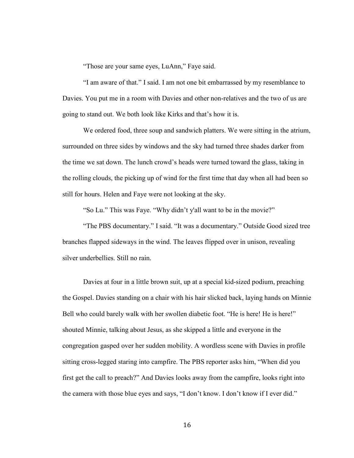"Those are your same eyes, LuAnn," Faye said.

"I am aware of that." I said. I am not one bit embarrassed by my resemblance to Davies. You put me in a room with Davies and other non-relatives and the two of us are going to stand out. We both look like Kirks and that's how it is.

We ordered food, three soup and sandwich platters. We were sitting in the atrium, surrounded on three sides by windows and the sky had turned three shades darker from the time we sat down. The lunch crowd's heads were turned toward the glass, taking in the rolling clouds, the picking up of wind for the first time that day when all had been so still for hours. Helen and Faye were not looking at the sky.

"So Lu." This was Faye. "Why didn't y'all want to be in the movie?"

"The PBS documentary." I said. "It was a documentary." Outside Good sized tree branches flapped sideways in the wind. The leaves flipped over in unison, revealing silver underbellies. Still no rain.

Davies at four in a little brown suit, up at a special kid-sized podium, preaching the Gospel. Davies standing on a chair with his hair slicked back, laying hands on Minnie Bell who could barely walk with her swollen diabetic foot. "He is here! He is here!" shouted Minnie, talking about Jesus, as she skipped a little and everyone in the congregation gasped over her sudden mobility. A wordless scene with Davies in profile sitting cross-legged staring into campfire. The PBS reporter asks him, "When did you first get the call to preach?" And Davies looks away from the campfire, looks right into the camera with those blue eyes and says, "I don't know. I don't know if I ever did."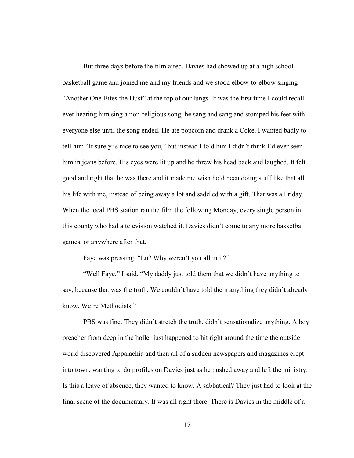But three days before the film aired, Davies had showed up at a high school basketball game and joined me and my friends and we stood elbow-to-elbow singing "Another One Bites the Dust" at the top of our lungs. It was the first time I could recall ever hearing him sing a non-religious song; he sang and sang and stomped his feet with everyone else until the song ended. He ate popcorn and drank a Coke. I wanted badly to tell him "It surely is nice to see you," but instead I told him I didn't think I'd ever seen him in jeans before. His eyes were lit up and he threw his head back and laughed. It felt good and right that he was there and it made me wish he'd been doing stuff like that all his life with me, instead of being away a lot and saddled with a gift. That was a Friday. When the local PBS station ran the film the following Monday, every single person in this county who had a television watched it. Davies didn't come to any more basketball games, or anywhere after that.

Faye was pressing. "Lu? Why weren't you all in it?"

 "Well Faye," I said. "My daddy just told them that we didn't have anything to say, because that was the truth. We couldn't have told them anything they didn't already know. We're Methodists."

PBS was fine. They didn't stretch the truth, didn't sensationalize anything. A boy preacher from deep in the holler just happened to hit right around the time the outside world discovered Appalachia and then all of a sudden newspapers and magazines crept into town, wanting to do profiles on Davies just as he pushed away and left the ministry. Is this a leave of absence, they wanted to know. A sabbatical? They just had to look at the final scene of the documentary. It was all right there. There is Davies in the middle of a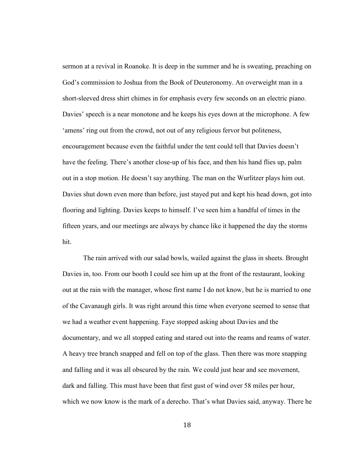sermon at a revival in Roanoke. It is deep in the summer and he is sweating, preaching on God's commission to Joshua from the Book of Deuteronomy. An overweight man in a short-sleeved dress shirt chimes in for emphasis every few seconds on an electric piano. Davies' speech is a near monotone and he keeps his eyes down at the microphone. A few 'amens' ring out from the crowd, not out of any religious fervor but politeness, encouragement because even the faithful under the tent could tell that Davies doesn't have the feeling. There's another close-up of his face, and then his hand flies up, palm out in a stop motion. He doesn't say anything. The man on the Wurlitzer plays him out. Davies shut down even more than before, just stayed put and kept his head down, got into flooring and lighting. Davies keeps to himself. I've seen him a handful of times in the fifteen years, and our meetings are always by chance like it happened the day the storms hit.

The rain arrived with our salad bowls, wailed against the glass in sheets. Brought Davies in, too. From our booth I could see him up at the front of the restaurant, looking out at the rain with the manager, whose first name I do not know, but he is married to one of the Cavanaugh girls. It was right around this time when everyone seemed to sense that we had a weather event happening. Faye stopped asking about Davies and the documentary, and we all stopped eating and stared out into the reams and reams of water. A heavy tree branch snapped and fell on top of the glass. Then there was more snapping and falling and it was all obscured by the rain. We could just hear and see movement, dark and falling. This must have been that first gust of wind over 58 miles per hour, which we now know is the mark of a derecho. That's what Davies said, anyway. There he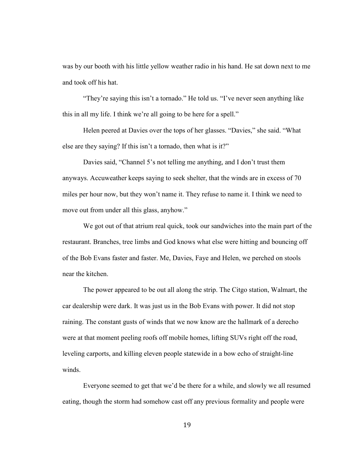was by our booth with his little yellow weather radio in his hand. He sat down next to me and took off his hat.

"They're saying this isn't a tornado." He told us. "I've never seen anything like this in all my life. I think we're all going to be here for a spell."

Helen peered at Davies over the tops of her glasses. "Davies," she said. "What else are they saying? If this isn't a tornado, then what is it?"

Davies said, "Channel 5's not telling me anything, and I don't trust them anyways. Accuweather keeps saying to seek shelter, that the winds are in excess of 70 miles per hour now, but they won't name it. They refuse to name it. I think we need to move out from under all this glass, anyhow."

We got out of that atrium real quick, took our sandwiches into the main part of the restaurant. Branches, tree limbs and God knows what else were hitting and bouncing off of the Bob Evans faster and faster. Me, Davies, Faye and Helen, we perched on stools near the kitchen.

The power appeared to be out all along the strip. The Citgo station, Walmart, the car dealership were dark. It was just us in the Bob Evans with power. It did not stop raining. The constant gusts of winds that we now know are the hallmark of a derecho were at that moment peeling roofs off mobile homes, lifting SUVs right off the road, leveling carports, and killing eleven people statewide in a bow echo of straight-line winds.

Everyone seemed to get that we'd be there for a while, and slowly we all resumed eating, though the storm had somehow cast off any previous formality and people were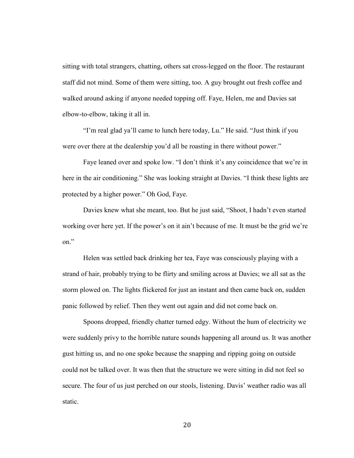sitting with total strangers, chatting, others sat cross-legged on the floor. The restaurant staff did not mind. Some of them were sitting, too. A guy brought out fresh coffee and walked around asking if anyone needed topping off. Faye, Helen, me and Davies sat elbow-to-elbow, taking it all in.

"I'm real glad ya'll came to lunch here today, Lu." He said. "Just think if you were over there at the dealership you'd all be roasting in there without power."

Faye leaned over and spoke low. "I don't think it's any coincidence that we're in here in the air conditioning." She was looking straight at Davies. "I think these lights are protected by a higher power." Oh God, Faye.

Davies knew what she meant, too. But he just said, "Shoot, I hadn't even started working over here yet. If the power's on it ain't because of me. It must be the grid we're on."

Helen was settled back drinking her tea, Faye was consciously playing with a strand of hair, probably trying to be flirty and smiling across at Davies; we all sat as the storm plowed on. The lights flickered for just an instant and then came back on, sudden panic followed by relief. Then they went out again and did not come back on.

Spoons dropped, friendly chatter turned edgy. Without the hum of electricity we were suddenly privy to the horrible nature sounds happening all around us. It was another gust hitting us, and no one spoke because the snapping and ripping going on outside could not be talked over. It was then that the structure we were sitting in did not feel so secure. The four of us just perched on our stools, listening. Davis' weather radio was all static.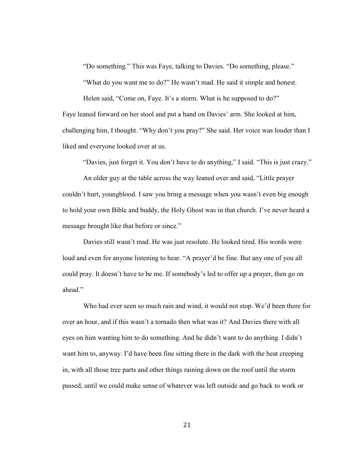"Do something." This was Faye, talking to Davies. "Do something, please."

"What do you want me to do?" He wasn't mad. He said it simple and honest.

Helen said, "Come on, Faye. It's a storm. What is he supposed to do?" Faye leaned forward on her stool and put a hand on Davies' arm. She looked at him, challenging him, I thought. "Why don't you pray?" She said. Her voice was louder than I liked and everyone looked over at us.

"Davies, just forget it. You don't have to do anything," I said. "This is just crazy."

An older guy at the table across the way leaned over and said, "Little prayer couldn't hurt, youngblood. I saw you bring a message when you wasn't even big enough to hold your own Bible and buddy, the Holy Ghost was in that church. I've never heard a message brought like that before or since."

Davies still wasn't mad. He was just resolute. He looked tired. His words were loud and even for anyone listening to hear. "A prayer'd be fine. But any one of you all could pray. It doesn't have to be me. If somebody's led to offer up a prayer, then go on ahead."

Who had ever seen so much rain and wind, it would not stop. We'd been there for over an hour, and if this wasn't a tornado then what was it? And Davies there with all eyes on him wanting him to do something. And he didn't want to do anything. I didn't want him to, anyway. I'd have been fine sitting there in the dark with the heat creeping in, with all those tree parts and other things raining down on the roof until the storm passed, until we could make sense of whatever was left outside and go back to work or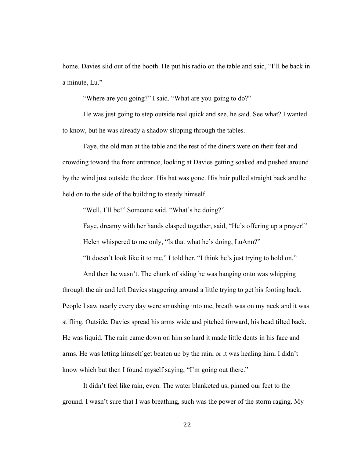home. Davies slid out of the booth. He put his radio on the table and said, "I'll be back in a minute, Lu."

"Where are you going?" I said. "What are you going to do?"

He was just going to step outside real quick and see, he said. See what? I wanted to know, but he was already a shadow slipping through the tables.

Faye, the old man at the table and the rest of the diners were on their feet and crowding toward the front entrance, looking at Davies getting soaked and pushed around by the wind just outside the door. His hat was gone. His hair pulled straight back and he held on to the side of the building to steady himself.

"Well, I'll be!" Someone said. "What's he doing?"

Faye, dreamy with her hands clasped together, said, "He's offering up a prayer!" Helen whispered to me only, "Is that what he's doing, LuAnn?"

"It doesn't look like it to me," I told her. "I think he's just trying to hold on."

And then he wasn't. The chunk of siding he was hanging onto was whipping through the air and left Davies staggering around a little trying to get his footing back. People I saw nearly every day were smushing into me, breath was on my neck and it was stifling. Outside, Davies spread his arms wide and pitched forward, his head tilted back. He was liquid. The rain came down on him so hard it made little dents in his face and arms. He was letting himself get beaten up by the rain, or it was healing him, I didn't know which but then I found myself saying, "I'm going out there."

It didn't feel like rain, even. The water blanketed us, pinned our feet to the ground. I wasn't sure that I was breathing, such was the power of the storm raging. My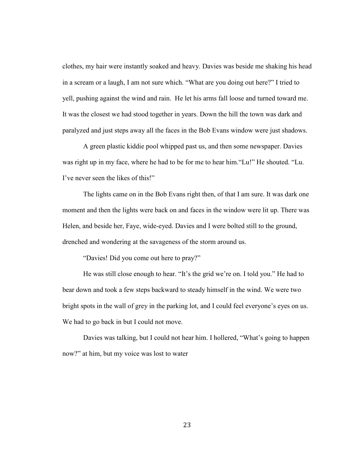clothes, my hair were instantly soaked and heavy. Davies was beside me shaking his head in a scream or a laugh, I am not sure which. "What are you doing out here?" I tried to yell, pushing against the wind and rain. He let his arms fall loose and turned toward me. It was the closest we had stood together in years. Down the hill the town was dark and paralyzed and just steps away all the faces in the Bob Evans window were just shadows.

A green plastic kiddie pool whipped past us, and then some newspaper. Davies was right up in my face, where he had to be for me to hear him."Lu!" He shouted. "Lu. I've never seen the likes of this!"

The lights came on in the Bob Evans right then, of that I am sure. It was dark one moment and then the lights were back on and faces in the window were lit up. There was Helen, and beside her, Faye, wide-eyed. Davies and I were bolted still to the ground, drenched and wondering at the savageness of the storm around us.

"Davies! Did you come out here to pray?"

He was still close enough to hear. "It's the grid we're on. I told you." He had to bear down and took a few steps backward to steady himself in the wind. We were two bright spots in the wall of grey in the parking lot, and I could feel everyone's eyes on us. We had to go back in but I could not move.

Davies was talking, but I could not hear him. I hollered, "What's going to happen now?" at him, but my voice was lost to water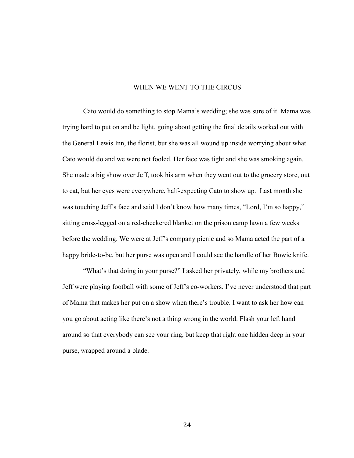## WHEN WE WENT TO THE CIRCUS

Cato would do something to stop Mama's wedding; she was sure of it. Mama was trying hard to put on and be light, going about getting the final details worked out with the General Lewis Inn, the florist, but she was all wound up inside worrying about what Cato would do and we were not fooled. Her face was tight and she was smoking again. She made a big show over Jeff, took his arm when they went out to the grocery store, out to eat, but her eyes were everywhere, half-expecting Cato to show up. Last month she was touching Jeff's face and said I don't know how many times, "Lord, I'm so happy," sitting cross-legged on a red-checkered blanket on the prison camp lawn a few weeks before the wedding. We were at Jeff's company picnic and so Mama acted the part of a happy bride-to-be, but her purse was open and I could see the handle of her Bowie knife.

"What's that doing in your purse?" I asked her privately, while my brothers and Jeff were playing football with some of Jeff's co-workers. I've never understood that part of Mama that makes her put on a show when there's trouble. I want to ask her how can you go about acting like there's not a thing wrong in the world. Flash your left hand around so that everybody can see your ring, but keep that right one hidden deep in your purse, wrapped around a blade.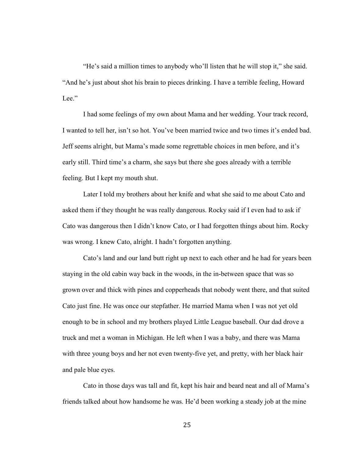"He's said a million times to anybody who'll listen that he will stop it," she said. "And he's just about shot his brain to pieces drinking. I have a terrible feeling, Howard Lee<sup>"</sup>

 I had some feelings of my own about Mama and her wedding. Your track record, I wanted to tell her, isn't so hot. You've been married twice and two times it's ended bad. Jeff seems alright, but Mama's made some regrettable choices in men before, and it's early still. Third time's a charm, she says but there she goes already with a terrible feeling. But I kept my mouth shut.

Later I told my brothers about her knife and what she said to me about Cato and asked them if they thought he was really dangerous. Rocky said if I even had to ask if Cato was dangerous then I didn't know Cato, or I had forgotten things about him. Rocky was wrong. I knew Cato, alright. I hadn't forgotten anything.

Cato's land and our land butt right up next to each other and he had for years been staying in the old cabin way back in the woods, in the in-between space that was so grown over and thick with pines and copperheads that nobody went there, and that suited Cato just fine. He was once our stepfather. He married Mama when I was not yet old enough to be in school and my brothers played Little League baseball. Our dad drove a truck and met a woman in Michigan. He left when I was a baby, and there was Mama with three young boys and her not even twenty-five yet, and pretty, with her black hair and pale blue eyes.

Cato in those days was tall and fit, kept his hair and beard neat and all of Mama's friends talked about how handsome he was. He'd been working a steady job at the mine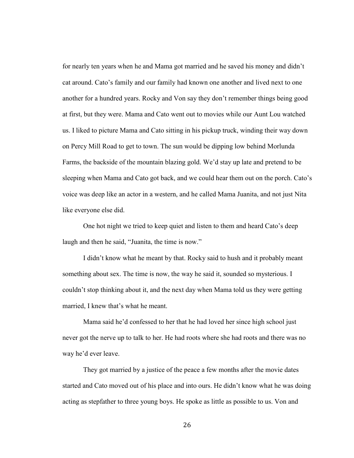for nearly ten years when he and Mama got married and he saved his money and didn't cat around. Cato's family and our family had known one another and lived next to one another for a hundred years. Rocky and Von say they don't remember things being good at first, but they were. Mama and Cato went out to movies while our Aunt Lou watched us. I liked to picture Mama and Cato sitting in his pickup truck, winding their way down on Percy Mill Road to get to town. The sun would be dipping low behind Morlunda Farms, the backside of the mountain blazing gold. We'd stay up late and pretend to be sleeping when Mama and Cato got back, and we could hear them out on the porch. Cato's voice was deep like an actor in a western, and he called Mama Juanita, and not just Nita like everyone else did.

One hot night we tried to keep quiet and listen to them and heard Cato's deep laugh and then he said, "Juanita, the time is now."

I didn't know what he meant by that. Rocky said to hush and it probably meant something about sex. The time is now, the way he said it, sounded so mysterious. I couldn't stop thinking about it, and the next day when Mama told us they were getting married, I knew that's what he meant.

Mama said he'd confessed to her that he had loved her since high school just never got the nerve up to talk to her. He had roots where she had roots and there was no way he'd ever leave.

They got married by a justice of the peace a few months after the movie dates started and Cato moved out of his place and into ours. He didn't know what he was doing acting as stepfather to three young boys. He spoke as little as possible to us. Von and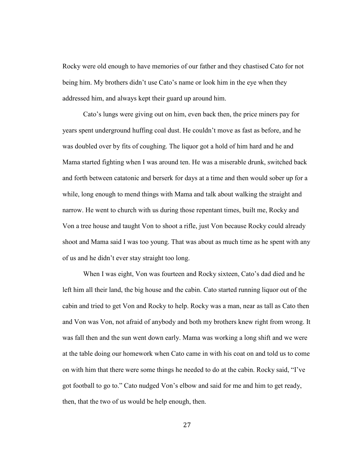Rocky were old enough to have memories of our father and they chastised Cato for not being him. My brothers didn't use Cato's name or look him in the eye when they addressed him, and always kept their guard up around him.

Cato's lungs were giving out on him, even back then, the price miners pay for years spent underground huffing coal dust. He couldn't move as fast as before, and he was doubled over by fits of coughing. The liquor got a hold of him hard and he and Mama started fighting when I was around ten. He was a miserable drunk, switched back and forth between catatonic and berserk for days at a time and then would sober up for a while, long enough to mend things with Mama and talk about walking the straight and narrow. He went to church with us during those repentant times, built me, Rocky and Von a tree house and taught Von to shoot a rifle, just Von because Rocky could already shoot and Mama said I was too young. That was about as much time as he spent with any of us and he didn't ever stay straight too long.

When I was eight, Von was fourteen and Rocky sixteen, Cato's dad died and he left him all their land, the big house and the cabin. Cato started running liquor out of the cabin and tried to get Von and Rocky to help. Rocky was a man, near as tall as Cato then and Von was Von, not afraid of anybody and both my brothers knew right from wrong. It was fall then and the sun went down early. Mama was working a long shift and we were at the table doing our homework when Cato came in with his coat on and told us to come on with him that there were some things he needed to do at the cabin. Rocky said, "I've got football to go to." Cato nudged Von's elbow and said for me and him to get ready, then, that the two of us would be help enough, then.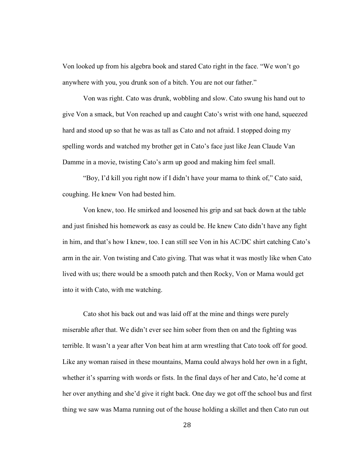Von looked up from his algebra book and stared Cato right in the face. "We won't go anywhere with you, you drunk son of a bitch. You are not our father."

Von was right. Cato was drunk, wobbling and slow. Cato swung his hand out to give Von a smack, but Von reached up and caught Cato's wrist with one hand, squeezed hard and stood up so that he was as tall as Cato and not afraid. I stopped doing my spelling words and watched my brother get in Cato's face just like Jean Claude Van Damme in a movie, twisting Cato's arm up good and making him feel small.

"Boy, I'd kill you right now if I didn't have your mama to think of," Cato said, coughing. He knew Von had bested him.

Von knew, too. He smirked and loosened his grip and sat back down at the table and just finished his homework as easy as could be. He knew Cato didn't have any fight in him, and that's how I knew, too. I can still see Von in his AC/DC shirt catching Cato's arm in the air. Von twisting and Cato giving. That was what it was mostly like when Cato lived with us; there would be a smooth patch and then Rocky, Von or Mama would get into it with Cato, with me watching.

Cato shot his back out and was laid off at the mine and things were purely miserable after that. We didn't ever see him sober from then on and the fighting was terrible. It wasn't a year after Von beat him at arm wrestling that Cato took off for good. Like any woman raised in these mountains, Mama could always hold her own in a fight, whether it's sparring with words or fists. In the final days of her and Cato, he'd come at her over anything and she'd give it right back. One day we got off the school bus and first thing we saw was Mama running out of the house holding a skillet and then Cato run out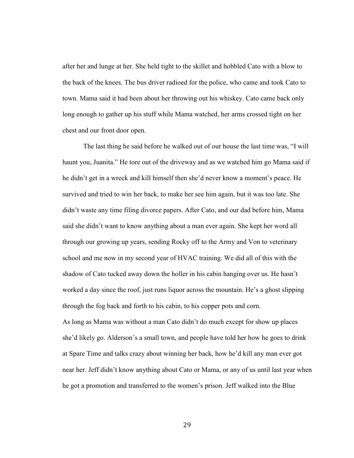after her and lunge at her. She held tight to the skillet and hobbled Cato with a blow to the back of the knees. The bus driver radioed for the police, who came and took Cato to town. Mama said it had been about her throwing out his whiskey. Cato came back only long enough to gather up his stuff while Mama watched, her arms crossed tight on her chest and our front door open.

The last thing he said before he walked out of our house the last time was, "I will haunt you, Juanita." He tore out of the driveway and as we watched him go Mama said if he didn't get in a wreck and kill himself then she'd never know a moment's peace. He survived and tried to win her back, to make her see him again, but it was too late. She didn't waste any time filing divorce papers. After Cato, and our dad before him, Mama said she didn't want to know anything about a man ever again. She kept her word all through our growing up years, sending Rocky off to the Army and Von to veterinary school and me now in my second year of HVAC training. We did all of this with the shadow of Cato tucked away down the holler in his cabin hanging over us. He hasn't worked a day since the roof, just runs liquor across the mountain. He's a ghost slipping through the fog back and forth to his cabin, to his copper pots and corn.

As long as Mama was without a man Cato didn't do much except for show up places she'd likely go. Alderson's a small town, and people have told her how he goes to drink at Spare Time and talks crazy about winning her back, how he'd kill any man ever got near her. Jeff didn't know anything about Cato or Mama, or any of us until last year when he got a promotion and transferred to the women's prison. Jeff walked into the Blue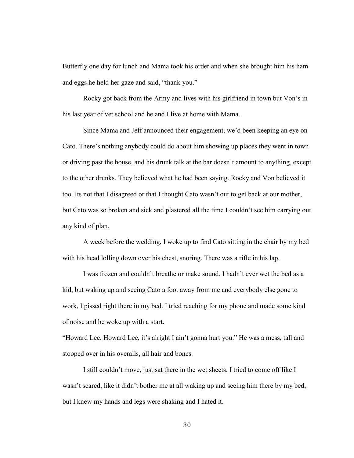Butterfly one day for lunch and Mama took his order and when she brought him his ham and eggs he held her gaze and said, "thank you."

Rocky got back from the Army and lives with his girlfriend in town but Von's in his last year of vet school and he and I live at home with Mama.

Since Mama and Jeff announced their engagement, we'd been keeping an eye on Cato. There's nothing anybody could do about him showing up places they went in town or driving past the house, and his drunk talk at the bar doesn't amount to anything, except to the other drunks. They believed what he had been saying. Rocky and Von believed it too. Its not that I disagreed or that I thought Cato wasn't out to get back at our mother, but Cato was so broken and sick and plastered all the time I couldn't see him carrying out any kind of plan.

A week before the wedding, I woke up to find Cato sitting in the chair by my bed with his head lolling down over his chest, snoring. There was a rifle in his lap.

I was frozen and couldn't breathe or make sound. I hadn't ever wet the bed as a kid, but waking up and seeing Cato a foot away from me and everybody else gone to work, I pissed right there in my bed. I tried reaching for my phone and made some kind of noise and he woke up with a start.

"Howard Lee. Howard Lee, it's alright I ain't gonna hurt you." He was a mess, tall and stooped over in his overalls, all hair and bones.

 I still couldn't move, just sat there in the wet sheets. I tried to come off like I wasn't scared, like it didn't bother me at all waking up and seeing him there by my bed, but I knew my hands and legs were shaking and I hated it.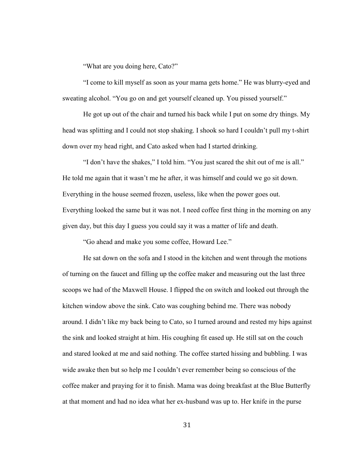"What are you doing here, Cato?"

"I come to kill myself as soon as your mama gets home." He was blurry-eyed and sweating alcohol. "You go on and get yourself cleaned up. You pissed yourself."

He got up out of the chair and turned his back while I put on some dry things. My head was splitting and I could not stop shaking. I shook so hard I couldn't pull my t-shirt down over my head right, and Cato asked when had I started drinking.

"I don't have the shakes," I told him. "You just scared the shit out of me is all." He told me again that it wasn't me he after, it was himself and could we go sit down. Everything in the house seemed frozen, useless, like when the power goes out. Everything looked the same but it was not. I need coffee first thing in the morning on any given day, but this day I guess you could say it was a matter of life and death.

"Go ahead and make you some coffee, Howard Lee."

He sat down on the sofa and I stood in the kitchen and went through the motions of turning on the faucet and filling up the coffee maker and measuring out the last three scoops we had of the Maxwell House. I flipped the on switch and looked out through the kitchen window above the sink. Cato was coughing behind me. There was nobody around. I didn't like my back being to Cato, so I turned around and rested my hips against the sink and looked straight at him. His coughing fit eased up. He still sat on the couch and stared looked at me and said nothing. The coffee started hissing and bubbling. I was wide awake then but so help me I couldn't ever remember being so conscious of the coffee maker and praying for it to finish. Mama was doing breakfast at the Blue Butterfly at that moment and had no idea what her ex-husband was up to. Her knife in the purse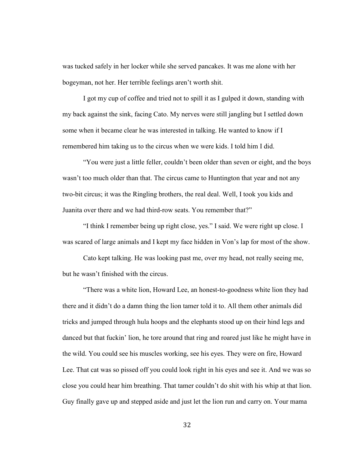was tucked safely in her locker while she served pancakes. It was me alone with her bogeyman, not her. Her terrible feelings aren't worth shit.

I got my cup of coffee and tried not to spill it as I gulped it down, standing with my back against the sink, facing Cato. My nerves were still jangling but I settled down some when it became clear he was interested in talking. He wanted to know if I remembered him taking us to the circus when we were kids. I told him I did.

"You were just a little feller, couldn't been older than seven or eight, and the boys wasn't too much older than that. The circus came to Huntington that year and not any two-bit circus; it was the Ringling brothers, the real deal. Well, I took you kids and Juanita over there and we had third-row seats. You remember that?"

"I think I remember being up right close, yes." I said. We were right up close. I was scared of large animals and I kept my face hidden in Von's lap for most of the show.

Cato kept talking. He was looking past me, over my head, not really seeing me, but he wasn't finished with the circus.

"There was a white lion, Howard Lee, an honest-to-goodness white lion they had there and it didn't do a damn thing the lion tamer told it to. All them other animals did tricks and jumped through hula hoops and the elephants stood up on their hind legs and danced but that fuckin' lion, he tore around that ring and roared just like he might have in the wild. You could see his muscles working, see his eyes. They were on fire, Howard Lee. That cat was so pissed off you could look right in his eyes and see it. And we was so close you could hear him breathing. That tamer couldn't do shit with his whip at that lion. Guy finally gave up and stepped aside and just let the lion run and carry on. Your mama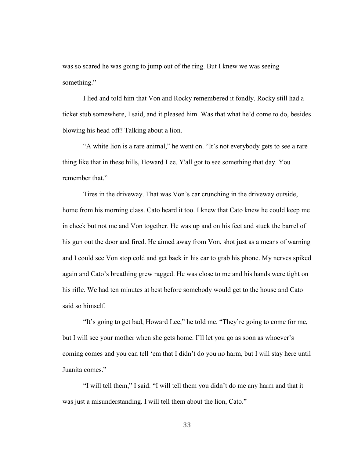was so scared he was going to jump out of the ring. But I knew we was seeing something."

I lied and told him that Von and Rocky remembered it fondly. Rocky still had a ticket stub somewhere, I said, and it pleased him. Was that what he'd come to do, besides blowing his head off? Talking about a lion.

"A white lion is a rare animal," he went on. "It's not everybody gets to see a rare thing like that in these hills, Howard Lee. Y'all got to see something that day. You remember that."

Tires in the driveway. That was Von's car crunching in the driveway outside, home from his morning class. Cato heard it too. I knew that Cato knew he could keep me in check but not me and Von together. He was up and on his feet and stuck the barrel of his gun out the door and fired. He aimed away from Von, shot just as a means of warning and I could see Von stop cold and get back in his car to grab his phone. My nerves spiked again and Cato's breathing grew ragged. He was close to me and his hands were tight on his rifle. We had ten minutes at best before somebody would get to the house and Cato said so himself.

"It's going to get bad, Howard Lee," he told me. "They're going to come for me, but I will see your mother when she gets home. I'll let you go as soon as whoever's coming comes and you can tell 'em that I didn't do you no harm, but I will stay here until Juanita comes."

"I will tell them," I said. "I will tell them you didn't do me any harm and that it was just a misunderstanding. I will tell them about the lion, Cato."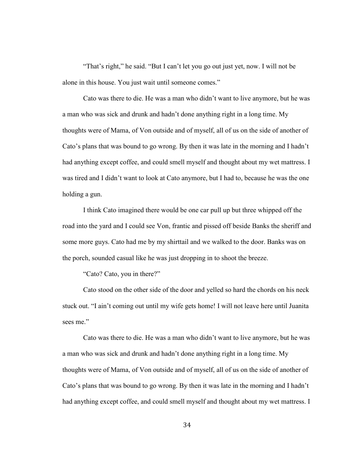"That's right," he said. "But I can't let you go out just yet, now. I will not be alone in this house. You just wait until someone comes."

Cato was there to die. He was a man who didn't want to live anymore, but he was a man who was sick and drunk and hadn't done anything right in a long time. My thoughts were of Mama, of Von outside and of myself, all of us on the side of another of Cato's plans that was bound to go wrong. By then it was late in the morning and I hadn't had anything except coffee, and could smell myself and thought about my wet mattress. I was tired and I didn't want to look at Cato anymore, but I had to, because he was the one holding a gun.

I think Cato imagined there would be one car pull up but three whipped off the road into the yard and I could see Von, frantic and pissed off beside Banks the sheriff and some more guys. Cato had me by my shirttail and we walked to the door. Banks was on the porch, sounded casual like he was just dropping in to shoot the breeze.

"Cato? Cato, you in there?"

Cato stood on the other side of the door and yelled so hard the chords on his neck stuck out. "I ain't coming out until my wife gets home! I will not leave here until Juanita sees me."

Cato was there to die. He was a man who didn't want to live anymore, but he was a man who was sick and drunk and hadn't done anything right in a long time. My thoughts were of Mama, of Von outside and of myself, all of us on the side of another of Cato's plans that was bound to go wrong. By then it was late in the morning and I hadn't had anything except coffee, and could smell myself and thought about my wet mattress. I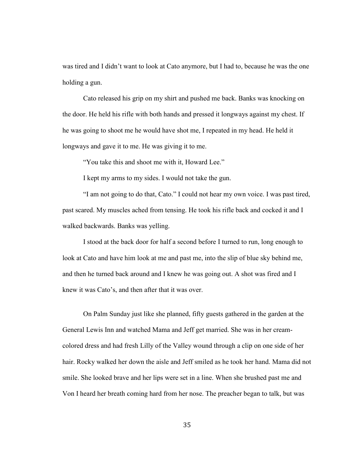was tired and I didn't want to look at Cato anymore, but I had to, because he was the one holding a gun.

 Cato released his grip on my shirt and pushed me back. Banks was knocking on the door. He held his rifle with both hands and pressed it longways against my chest. If he was going to shoot me he would have shot me, I repeated in my head. He held it longways and gave it to me. He was giving it to me.

"You take this and shoot me with it, Howard Lee."

I kept my arms to my sides. I would not take the gun.

"I am not going to do that, Cato." I could not hear my own voice. I was past tired, past scared. My muscles ached from tensing. He took his rifle back and cocked it and I walked backwards. Banks was yelling.

I stood at the back door for half a second before I turned to run, long enough to look at Cato and have him look at me and past me, into the slip of blue sky behind me, and then he turned back around and I knew he was going out. A shot was fired and I knew it was Cato's, and then after that it was over.

On Palm Sunday just like she planned, fifty guests gathered in the garden at the General Lewis Inn and watched Mama and Jeff get married. She was in her creamcolored dress and had fresh Lilly of the Valley wound through a clip on one side of her hair. Rocky walked her down the aisle and Jeff smiled as he took her hand. Mama did not smile. She looked brave and her lips were set in a line. When she brushed past me and Von I heard her breath coming hard from her nose. The preacher began to talk, but was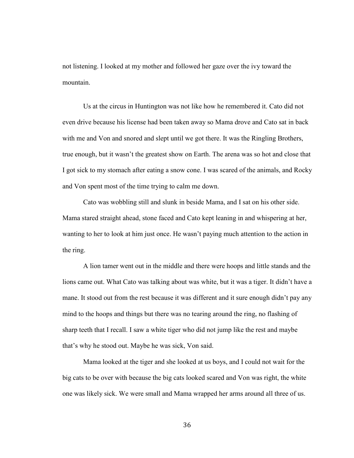not listening. I looked at my mother and followed her gaze over the ivy toward the mountain.

Us at the circus in Huntington was not like how he remembered it. Cato did not even drive because his license had been taken away so Mama drove and Cato sat in back with me and Von and snored and slept until we got there. It was the Ringling Brothers, true enough, but it wasn't the greatest show on Earth. The arena was so hot and close that I got sick to my stomach after eating a snow cone. I was scared of the animals, and Rocky and Von spent most of the time trying to calm me down.

Cato was wobbling still and slunk in beside Mama, and I sat on his other side. Mama stared straight ahead, stone faced and Cato kept leaning in and whispering at her, wanting to her to look at him just once. He wasn't paying much attention to the action in the ring.

A lion tamer went out in the middle and there were hoops and little stands and the lions came out. What Cato was talking about was white, but it was a tiger. It didn't have a mane. It stood out from the rest because it was different and it sure enough didn't pay any mind to the hoops and things but there was no tearing around the ring, no flashing of sharp teeth that I recall. I saw a white tiger who did not jump like the rest and maybe that's why he stood out. Maybe he was sick, Von said.

Mama looked at the tiger and she looked at us boys, and I could not wait for the big cats to be over with because the big cats looked scared and Von was right, the white one was likely sick. We were small and Mama wrapped her arms around all three of us.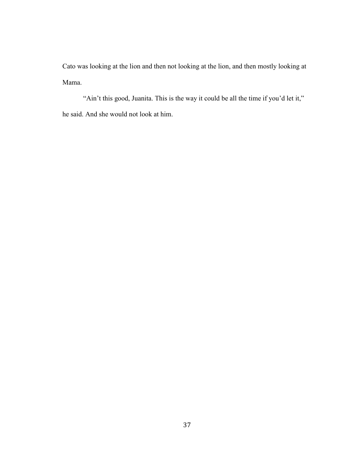Cato was looking at the lion and then not looking at the lion, and then mostly looking at Mama.

"Ain't this good, Juanita. This is the way it could be all the time if you'd let it," he said. And she would not look at him.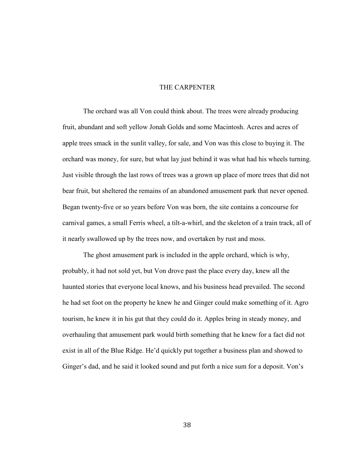#### THE CARPENTER

The orchard was all Von could think about. The trees were already producing fruit, abundant and soft yellow Jonah Golds and some Macintosh. Acres and acres of apple trees smack in the sunlit valley, for sale, and Von was this close to buying it. The orchard was money, for sure, but what lay just behind it was what had his wheels turning. Just visible through the last rows of trees was a grown up place of more trees that did not bear fruit, but sheltered the remains of an abandoned amusement park that never opened. Began twenty-five or so years before Von was born, the site contains a concourse for carnival games, a small Ferris wheel, a tilt-a-whirl, and the skeleton of a train track, all of it nearly swallowed up by the trees now, and overtaken by rust and moss.

The ghost amusement park is included in the apple orchard, which is why, probably, it had not sold yet, but Von drove past the place every day, knew all the haunted stories that everyone local knows, and his business head prevailed. The second he had set foot on the property he knew he and Ginger could make something of it. Agro tourism, he knew it in his gut that they could do it. Apples bring in steady money, and overhauling that amusement park would birth something that he knew for a fact did not exist in all of the Blue Ridge. He'd quickly put together a business plan and showed to Ginger's dad, and he said it looked sound and put forth a nice sum for a deposit. Von's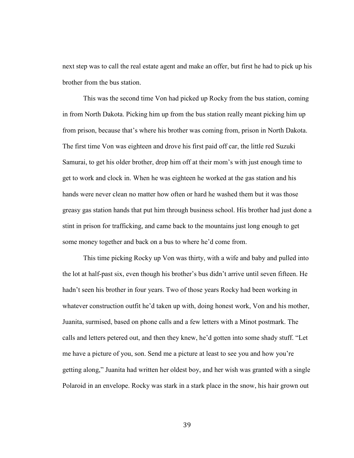next step was to call the real estate agent and make an offer, but first he had to pick up his brother from the bus station.

This was the second time Von had picked up Rocky from the bus station, coming in from North Dakota. Picking him up from the bus station really meant picking him up from prison, because that's where his brother was coming from, prison in North Dakota. The first time Von was eighteen and drove his first paid off car, the little red Suzuki Samurai, to get his older brother, drop him off at their mom's with just enough time to get to work and clock in. When he was eighteen he worked at the gas station and his hands were never clean no matter how often or hard he washed them but it was those greasy gas station hands that put him through business school. His brother had just done a stint in prison for trafficking, and came back to the mountains just long enough to get some money together and back on a bus to where he'd come from.

This time picking Rocky up Von was thirty, with a wife and baby and pulled into the lot at half-past six, even though his brother's bus didn't arrive until seven fifteen. He hadn't seen his brother in four years. Two of those years Rocky had been working in whatever construction outfit he'd taken up with, doing honest work, Von and his mother, Juanita, surmised, based on phone calls and a few letters with a Minot postmark. The calls and letters petered out, and then they knew, he'd gotten into some shady stuff. "Let me have a picture of you, son. Send me a picture at least to see you and how you're getting along," Juanita had written her oldest boy, and her wish was granted with a single Polaroid in an envelope. Rocky was stark in a stark place in the snow, his hair grown out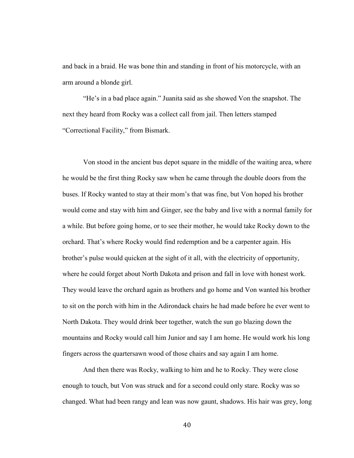and back in a braid. He was bone thin and standing in front of his motorcycle, with an arm around a blonde girl.

"He's in a bad place again." Juanita said as she showed Von the snapshot. The next they heard from Rocky was a collect call from jail. Then letters stamped "Correctional Facility," from Bismark.

Von stood in the ancient bus depot square in the middle of the waiting area, where he would be the first thing Rocky saw when he came through the double doors from the buses. If Rocky wanted to stay at their mom's that was fine, but Von hoped his brother would come and stay with him and Ginger, see the baby and live with a normal family for a while. But before going home, or to see their mother, he would take Rocky down to the orchard. That's where Rocky would find redemption and be a carpenter again. His brother's pulse would quicken at the sight of it all, with the electricity of opportunity, where he could forget about North Dakota and prison and fall in love with honest work. They would leave the orchard again as brothers and go home and Von wanted his brother to sit on the porch with him in the Adirondack chairs he had made before he ever went to North Dakota. They would drink beer together, watch the sun go blazing down the mountains and Rocky would call him Junior and say I am home. He would work his long fingers across the quartersawn wood of those chairs and say again I am home.

And then there was Rocky, walking to him and he to Rocky. They were close enough to touch, but Von was struck and for a second could only stare. Rocky was so changed. What had been rangy and lean was now gaunt, shadows. His hair was grey, long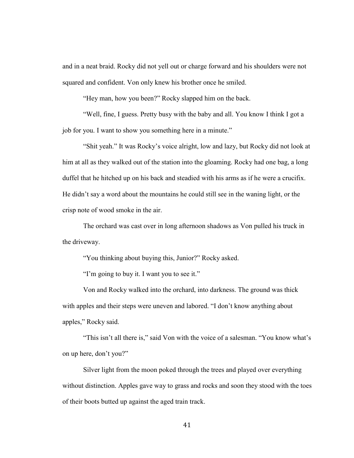and in a neat braid. Rocky did not yell out or charge forward and his shoulders were not squared and confident. Von only knew his brother once he smiled.

"Hey man, how you been?" Rocky slapped him on the back.

"Well, fine, I guess. Pretty busy with the baby and all. You know I think I got a job for you. I want to show you something here in a minute."

"Shit yeah." It was Rocky's voice alright, low and lazy, but Rocky did not look at him at all as they walked out of the station into the gloaming. Rocky had one bag, a long duffel that he hitched up on his back and steadied with his arms as if he were a crucifix. He didn't say a word about the mountains he could still see in the waning light, or the crisp note of wood smoke in the air.

The orchard was cast over in long afternoon shadows as Von pulled his truck in the driveway.

"You thinking about buying this, Junior?" Rocky asked.

"I'm going to buy it. I want you to see it."

Von and Rocky walked into the orchard, into darkness. The ground was thick with apples and their steps were uneven and labored. "I don't know anything about apples," Rocky said.

"This isn't all there is," said Von with the voice of a salesman. "You know what's on up here, don't you?"

 Silver light from the moon poked through the trees and played over everything without distinction. Apples gave way to grass and rocks and soon they stood with the toes of their boots butted up against the aged train track.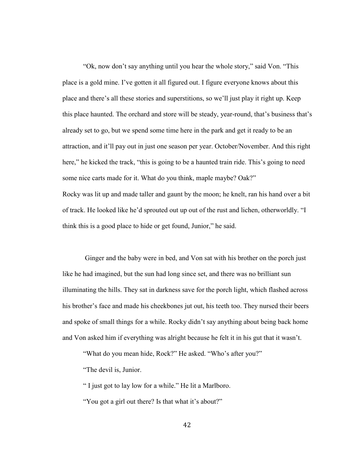"Ok, now don't say anything until you hear the whole story," said Von. "This place is a gold mine. I've gotten it all figured out. I figure everyone knows about this place and there's all these stories and superstitions, so we'll just play it right up. Keep this place haunted. The orchard and store will be steady, year-round, that's business that's already set to go, but we spend some time here in the park and get it ready to be an attraction, and it'll pay out in just one season per year. October/November. And this right here," he kicked the track, "this is going to be a haunted train ride. This's going to need some nice carts made for it. What do you think, maple maybe? Oak?" Rocky was lit up and made taller and gaunt by the moon; he knelt, ran his hand over a bit of track. He looked like he'd sprouted out up out of the rust and lichen, otherworldly. "I think this is a good place to hide or get found, Junior," he said.

 Ginger and the baby were in bed, and Von sat with his brother on the porch just like he had imagined, but the sun had long since set, and there was no brilliant sun illuminating the hills. They sat in darkness save for the porch light, which flashed across his brother's face and made his cheekbones jut out, his teeth too. They nursed their beers and spoke of small things for a while. Rocky didn't say anything about being back home and Von asked him if everything was alright because he felt it in his gut that it wasn't.

"What do you mean hide, Rock?" He asked. "Who's after you?"

"The devil is, Junior.

" I just got to lay low for a while." He lit a Marlboro.

"You got a girl out there? Is that what it's about?"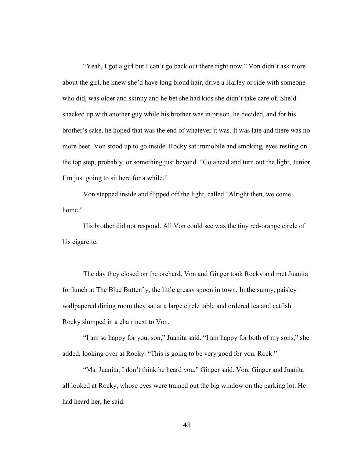"Yeah, I got a girl but I can't go back out there right now." Von didn't ask more about the girl, he knew she'd have long blond hair, drive a Harley or ride with someone who did, was older and skinny and he bet she had kids she didn't take care of. She'd shacked up with another guy while his brother was in prison, he decided, and for his brother's sake, he hoped that was the end of whatever it was. It was late and there was no more beer. Von stood up to go inside. Rocky sat immobile and smoking, eyes resting on the top step, probably, or something just beyond. "Go ahead and turn out the light, Junior. I'm just going to sit here for a while."

 Von stepped inside and flipped off the light, called "Alright then, welcome home."

 His brother did not respond. All Von could see was the tiny red-orange circle of his cigarette.

 The day they closed on the orchard, Von and Ginger took Rocky and met Juanita for lunch at The Blue Butterfly, the little greasy spoon in town. In the sunny, paisley wallpapered dining room they sat at a large circle table and ordered tea and catfish. Rocky slumped in a chair next to Von.

 "I am so happy for you, son," Juanita said. "I am happy for both of my sons," she added, looking over at Rocky. "This is going to be very good for you, Rock."

 "Ms. Juanita, I don't think he heard you," Ginger said. Von, Ginger and Juanita all looked at Rocky, whose eyes were trained out the big window on the parking lot. He had heard her, he said.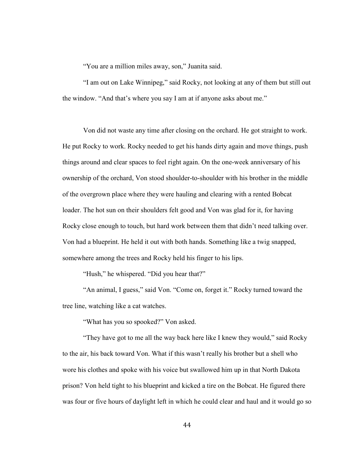"You are a million miles away, son," Juanita said.

 "I am out on Lake Winnipeg," said Rocky, not looking at any of them but still out the window. "And that's where you say I am at if anyone asks about me."

 Von did not waste any time after closing on the orchard. He got straight to work. He put Rocky to work. Rocky needed to get his hands dirty again and move things, push things around and clear spaces to feel right again. On the one-week anniversary of his ownership of the orchard, Von stood shoulder-to-shoulder with his brother in the middle of the overgrown place where they were hauling and clearing with a rented Bobcat loader. The hot sun on their shoulders felt good and Von was glad for it, for having Rocky close enough to touch, but hard work between them that didn't need talking over. Von had a blueprint. He held it out with both hands. Something like a twig snapped, somewhere among the trees and Rocky held his finger to his lips.

"Hush," he whispered. "Did you hear that?"

 "An animal, I guess," said Von. "Come on, forget it." Rocky turned toward the tree line, watching like a cat watches.

"What has you so spooked?" Von asked.

 "They have got to me all the way back here like I knew they would," said Rocky to the air, his back toward Von. What if this wasn't really his brother but a shell who wore his clothes and spoke with his voice but swallowed him up in that North Dakota prison? Von held tight to his blueprint and kicked a tire on the Bobcat. He figured there was four or five hours of daylight left in which he could clear and haul and it would go so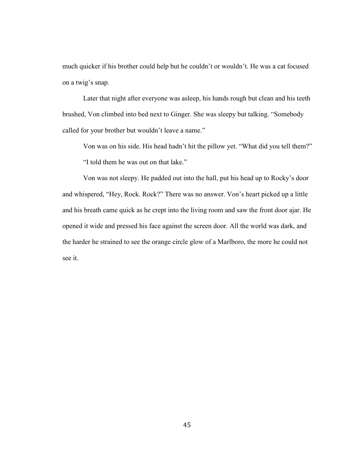much quicker if his brother could help but he couldn't or wouldn't. He was a cat focused on a twig's snap.

 Later that night after everyone was asleep, his hands rough but clean and his teeth brushed, Von climbed into bed next to Ginger. She was sleepy but talking. "Somebody called for your brother but wouldn't leave a name."

 Von was on his side. His head hadn't hit the pillow yet. "What did you tell them?" "I told them he was out on that lake."

 Von was not sleepy. He padded out into the hall, put his head up to Rocky's door and whispered, "Hey, Rock. Rock?" There was no answer. Von's heart picked up a little and his breath came quick as he crept into the living room and saw the front door ajar. He opened it wide and pressed his face against the screen door. All the world was dark, and the harder he strained to see the orange circle glow of a Marlboro, the more he could not see it.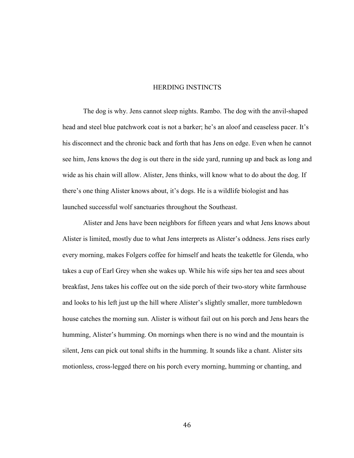#### HERDING INSTINCTS

The dog is why. Jens cannot sleep nights. Rambo. The dog with the anvil-shaped head and steel blue patchwork coat is not a barker; he's an aloof and ceaseless pacer. It's his disconnect and the chronic back and forth that has Jens on edge. Even when he cannot see him, Jens knows the dog is out there in the side yard, running up and back as long and wide as his chain will allow. Alister, Jens thinks, will know what to do about the dog. If there's one thing Alister knows about, it's dogs. He is a wildlife biologist and has launched successful wolf sanctuaries throughout the Southeast.

Alister and Jens have been neighbors for fifteen years and what Jens knows about Alister is limited, mostly due to what Jens interprets as Alister's oddness. Jens rises early every morning, makes Folgers coffee for himself and heats the teakettle for Glenda, who takes a cup of Earl Grey when she wakes up. While his wife sips her tea and sees about breakfast, Jens takes his coffee out on the side porch of their two-story white farmhouse and looks to his left just up the hill where Alister's slightly smaller, more tumbledown house catches the morning sun. Alister is without fail out on his porch and Jens hears the humming, Alister's humming. On mornings when there is no wind and the mountain is silent, Jens can pick out tonal shifts in the humming. It sounds like a chant. Alister sits motionless, cross-legged there on his porch every morning, humming or chanting, and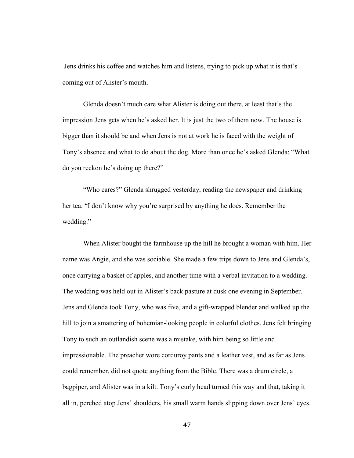Jens drinks his coffee and watches him and listens, trying to pick up what it is that's coming out of Alister's mouth.

Glenda doesn't much care what Alister is doing out there, at least that's the impression Jens gets when he's asked her. It is just the two of them now. The house is bigger than it should be and when Jens is not at work he is faced with the weight of Tony's absence and what to do about the dog. More than once he's asked Glenda: "What do you reckon he's doing up there?"

"Who cares?" Glenda shrugged yesterday, reading the newspaper and drinking her tea. "I don't know why you're surprised by anything he does. Remember the wedding."

When Alister bought the farmhouse up the hill he brought a woman with him. Her name was Angie, and she was sociable. She made a few trips down to Jens and Glenda's, once carrying a basket of apples, and another time with a verbal invitation to a wedding. The wedding was held out in Alister's back pasture at dusk one evening in September. Jens and Glenda took Tony, who was five, and a gift-wrapped blender and walked up the hill to join a smattering of bohemian-looking people in colorful clothes. Jens felt bringing Tony to such an outlandish scene was a mistake, with him being so little and impressionable. The preacher wore corduroy pants and a leather vest, and as far as Jens could remember, did not quote anything from the Bible. There was a drum circle, a bagpiper, and Alister was in a kilt. Tony's curly head turned this way and that, taking it all in, perched atop Jens' shoulders, his small warm hands slipping down over Jens' eyes.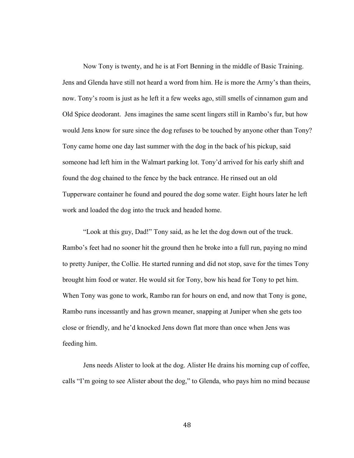Now Tony is twenty, and he is at Fort Benning in the middle of Basic Training. Jens and Glenda have still not heard a word from him. He is more the Army's than theirs, now. Tony's room is just as he left it a few weeks ago, still smells of cinnamon gum and Old Spice deodorant. Jens imagines the same scent lingers still in Rambo's fur, but how would Jens know for sure since the dog refuses to be touched by anyone other than Tony? Tony came home one day last summer with the dog in the back of his pickup, said someone had left him in the Walmart parking lot. Tony'd arrived for his early shift and found the dog chained to the fence by the back entrance. He rinsed out an old Tupperware container he found and poured the dog some water. Eight hours later he left work and loaded the dog into the truck and headed home.

"Look at this guy, Dad!" Tony said, as he let the dog down out of the truck. Rambo's feet had no sooner hit the ground then he broke into a full run, paying no mind to pretty Juniper, the Collie. He started running and did not stop, save for the times Tony brought him food or water. He would sit for Tony, bow his head for Tony to pet him. When Tony was gone to work, Rambo ran for hours on end, and now that Tony is gone, Rambo runs incessantly and has grown meaner, snapping at Juniper when she gets too close or friendly, and he'd knocked Jens down flat more than once when Jens was feeding him.

Jens needs Alister to look at the dog. Alister He drains his morning cup of coffee, calls "I'm going to see Alister about the dog," to Glenda, who pays him no mind because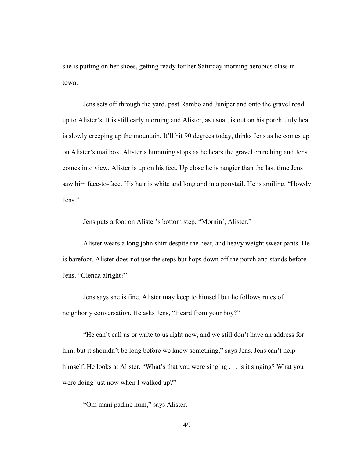she is putting on her shoes, getting ready for her Saturday morning aerobics class in town.

Jens sets off through the yard, past Rambo and Juniper and onto the gravel road up to Alister's. It is still early morning and Alister, as usual, is out on his porch. July heat is slowly creeping up the mountain. It'll hit 90 degrees today, thinks Jens as he comes up on Alister's mailbox. Alister's humming stops as he hears the gravel crunching and Jens comes into view. Alister is up on his feet. Up close he is rangier than the last time Jens saw him face-to-face. His hair is white and long and in a ponytail. He is smiling. "Howdy Jens."

Jens puts a foot on Alister's bottom step. "Mornin', Alister."

Alister wears a long john shirt despite the heat, and heavy weight sweat pants. He is barefoot. Alister does not use the steps but hops down off the porch and stands before Jens. "Glenda alright?"

Jens says she is fine. Alister may keep to himself but he follows rules of neighborly conversation. He asks Jens, "Heard from your boy?"

"He can't call us or write to us right now, and we still don't have an address for him, but it shouldn't be long before we know something," says Jens. Jens can't help himself. He looks at Alister. "What's that you were singing . . . is it singing? What you were doing just now when I walked up?"

"Om mani padme hum," says Alister.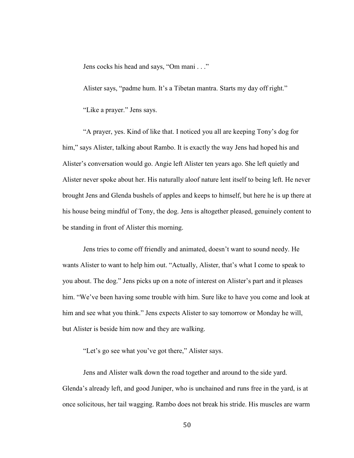Jens cocks his head and says, "Om mani . . ."

Alister says, "padme hum. It's a Tibetan mantra. Starts my day off right."

"Like a prayer." Jens says.

"A prayer, yes. Kind of like that. I noticed you all are keeping Tony's dog for him," says Alister, talking about Rambo. It is exactly the way Jens had hoped his and Alister's conversation would go. Angie left Alister ten years ago. She left quietly and Alister never spoke about her. His naturally aloof nature lent itself to being left. He never brought Jens and Glenda bushels of apples and keeps to himself, but here he is up there at his house being mindful of Tony, the dog. Jens is altogether pleased, genuinely content to be standing in front of Alister this morning.

Jens tries to come off friendly and animated, doesn't want to sound needy. He wants Alister to want to help him out. "Actually, Alister, that's what I come to speak to you about. The dog." Jens picks up on a note of interest on Alister's part and it pleases him. "We've been having some trouble with him. Sure like to have you come and look at him and see what you think." Jens expects Alister to say tomorrow or Monday he will, but Alister is beside him now and they are walking.

"Let's go see what you've got there," Alister says.

Jens and Alister walk down the road together and around to the side yard. Glenda's already left, and good Juniper, who is unchained and runs free in the yard, is at once solicitous, her tail wagging. Rambo does not break his stride. His muscles are warm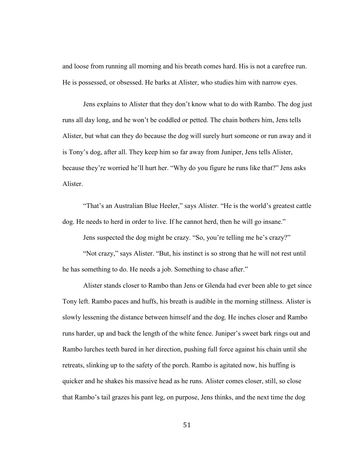and loose from running all morning and his breath comes hard. His is not a carefree run. He is possessed, or obsessed. He barks at Alister, who studies him with narrow eyes.

Jens explains to Alister that they don't know what to do with Rambo. The dog just runs all day long, and he won't be coddled or petted. The chain bothers him, Jens tells Alister, but what can they do because the dog will surely hurt someone or run away and it is Tony's dog, after all. They keep him so far away from Juniper, Jens tells Alister, because they're worried he'll hurt her. "Why do you figure he runs like that?" Jens asks Alister.

"That's an Australian Blue Heeler," says Alister. "He is the world's greatest cattle dog. He needs to herd in order to live. If he cannot herd, then he will go insane."

Jens suspected the dog might be crazy. "So, you're telling me he's crazy?"

"Not crazy," says Alister. "But, his instinct is so strong that he will not rest until he has something to do. He needs a job. Something to chase after."

Alister stands closer to Rambo than Jens or Glenda had ever been able to get since Tony left. Rambo paces and huffs, his breath is audible in the morning stillness. Alister is slowly lessening the distance between himself and the dog. He inches closer and Rambo runs harder, up and back the length of the white fence. Juniper's sweet bark rings out and Rambo lurches teeth bared in her direction, pushing full force against his chain until she retreats, slinking up to the safety of the porch. Rambo is agitated now, his huffing is quicker and he shakes his massive head as he runs. Alister comes closer, still, so close that Rambo's tail grazes his pant leg, on purpose, Jens thinks, and the next time the dog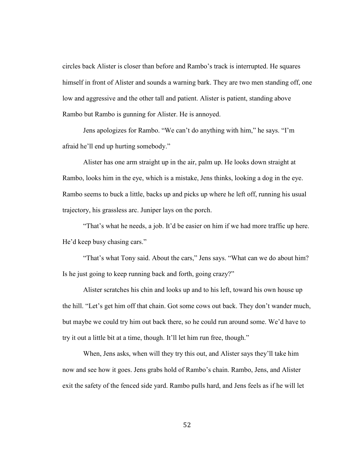circles back Alister is closer than before and Rambo's track is interrupted. He squares himself in front of Alister and sounds a warning bark. They are two men standing off, one low and aggressive and the other tall and patient. Alister is patient, standing above Rambo but Rambo is gunning for Alister. He is annoyed.

Jens apologizes for Rambo. "We can't do anything with him," he says. "I'm afraid he'll end up hurting somebody."

Alister has one arm straight up in the air, palm up. He looks down straight at Rambo, looks him in the eye, which is a mistake, Jens thinks, looking a dog in the eye. Rambo seems to buck a little, backs up and picks up where he left off, running his usual trajectory, his grassless arc. Juniper lays on the porch.

"That's what he needs, a job. It'd be easier on him if we had more traffic up here. He'd keep busy chasing cars."

"That's what Tony said. About the cars," Jens says. "What can we do about him? Is he just going to keep running back and forth, going crazy?"

Alister scratches his chin and looks up and to his left, toward his own house up the hill. "Let's get him off that chain. Got some cows out back. They don't wander much, but maybe we could try him out back there, so he could run around some. We'd have to try it out a little bit at a time, though. It'll let him run free, though."

When, Jens asks, when will they try this out, and Alister says they'll take him now and see how it goes. Jens grabs hold of Rambo's chain. Rambo, Jens, and Alister exit the safety of the fenced side yard. Rambo pulls hard, and Jens feels as if he will let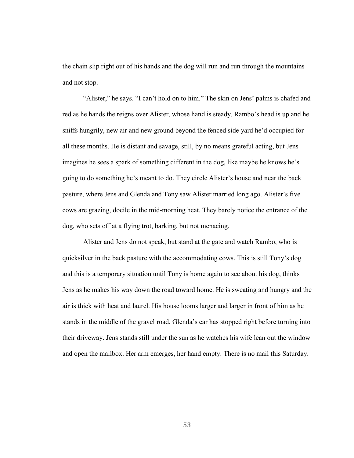the chain slip right out of his hands and the dog will run and run through the mountains and not stop.

"Alister," he says. "I can't hold on to him." The skin on Jens' palms is chafed and red as he hands the reigns over Alister, whose hand is steady. Rambo's head is up and he sniffs hungrily, new air and new ground beyond the fenced side yard he'd occupied for all these months. He is distant and savage, still, by no means grateful acting, but Jens imagines he sees a spark of something different in the dog, like maybe he knows he's going to do something he's meant to do. They circle Alister's house and near the back pasture, where Jens and Glenda and Tony saw Alister married long ago. Alister's five cows are grazing, docile in the mid-morning heat. They barely notice the entrance of the dog, who sets off at a flying trot, barking, but not menacing.

Alister and Jens do not speak, but stand at the gate and watch Rambo, who is quicksilver in the back pasture with the accommodating cows. This is still Tony's dog and this is a temporary situation until Tony is home again to see about his dog, thinks Jens as he makes his way down the road toward home. He is sweating and hungry and the air is thick with heat and laurel. His house looms larger and larger in front of him as he stands in the middle of the gravel road. Glenda's car has stopped right before turning into their driveway. Jens stands still under the sun as he watches his wife lean out the window and open the mailbox. Her arm emerges, her hand empty. There is no mail this Saturday.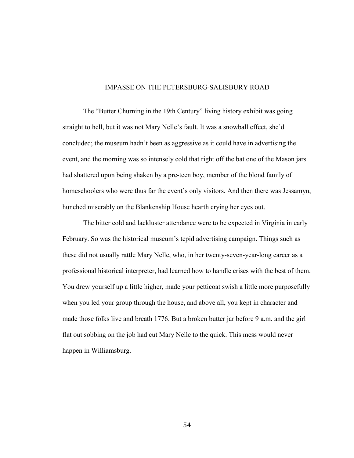# IMPASSE ON THE PETERSBURG-SALISBURY ROAD

The "Butter Churning in the 19th Century" living history exhibit was going straight to hell, but it was not Mary Nelle's fault. It was a snowball effect, she'd concluded; the museum hadn't been as aggressive as it could have in advertising the event, and the morning was so intensely cold that right off the bat one of the Mason jars had shattered upon being shaken by a pre-teen boy, member of the blond family of homeschoolers who were thus far the event's only visitors. And then there was Jessamyn, hunched miserably on the Blankenship House hearth crying her eyes out.

 The bitter cold and lackluster attendance were to be expected in Virginia in early February. So was the historical museum's tepid advertising campaign. Things such as these did not usually rattle Mary Nelle, who, in her twenty-seven-year-long career as a professional historical interpreter, had learned how to handle crises with the best of them. You drew yourself up a little higher, made your petticoat swish a little more purposefully when you led your group through the house, and above all, you kept in character and made those folks live and breath 1776. But a broken butter jar before 9 a.m. and the girl flat out sobbing on the job had cut Mary Nelle to the quick. This mess would never happen in Williamsburg.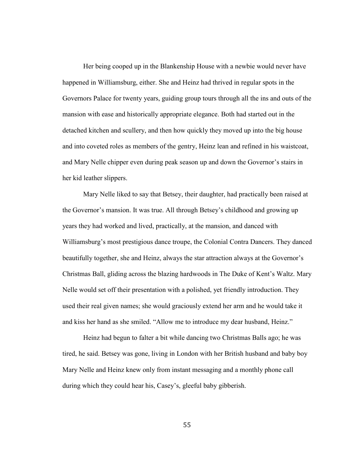Her being cooped up in the Blankenship House with a newbie would never have happened in Williamsburg, either. She and Heinz had thrived in regular spots in the Governors Palace for twenty years, guiding group tours through all the ins and outs of the mansion with ease and historically appropriate elegance. Both had started out in the detached kitchen and scullery, and then how quickly they moved up into the big house and into coveted roles as members of the gentry, Heinz lean and refined in his waistcoat, and Mary Nelle chipper even during peak season up and down the Governor's stairs in her kid leather slippers.

Mary Nelle liked to say that Betsey, their daughter, had practically been raised at the Governor's mansion. It was true. All through Betsey's childhood and growing up years they had worked and lived, practically, at the mansion, and danced with Williamsburg's most prestigious dance troupe, the Colonial Contra Dancers. They danced beautifully together, she and Heinz, always the star attraction always at the Governor's Christmas Ball, gliding across the blazing hardwoods in The Duke of Kent's Waltz. Mary Nelle would set off their presentation with a polished, yet friendly introduction. They used their real given names; she would graciously extend her arm and he would take it and kiss her hand as she smiled. "Allow me to introduce my dear husband, Heinz."

Heinz had begun to falter a bit while dancing two Christmas Balls ago; he was tired, he said. Betsey was gone, living in London with her British husband and baby boy Mary Nelle and Heinz knew only from instant messaging and a monthly phone call during which they could hear his, Casey's, gleeful baby gibberish.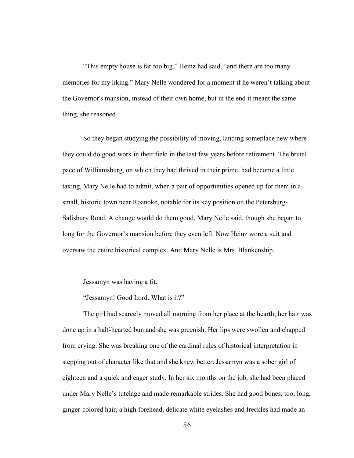"This empty house is far too big," Heinz had said, "and there are too many memories for my liking." Mary Nelle wondered for a moment if he weren't talking about the Governor's mansion, instead of their own home, but in the end it meant the same thing, she reasoned.

So they began studying the possibility of moving, landing someplace new where they could do good work in their field in the last few years before retirement. The brutal pace of Williamsburg, on which they had thrived in their prime, had become a little taxing, Mary Nelle had to admit, when a pair of opportunities opened up for them in a small, historic town near Roanoke, notable for its key position on the Petersburg-Salisbury Road. A change would do them good, Mary Nelle said, though she began to long for the Governor's mansion before they even left. Now Heinz wore a suit and oversaw the entire historical complex. And Mary Nelle is Mrs. Blankenship.

Jessamyn was having a fit.

"Jessamyn! Good Lord. What is it?"

The girl had scarcely moved all morning from her place at the hearth; her hair was done up in a half-hearted bun and she was greenish. Her lips were swollen and chapped from crying. She was breaking one of the cardinal rules of historical interpretation in stepping out of character like that and she knew better. Jessamyn was a sober girl of eighteen and a quick and eager study. In her six months on the job, she had been placed under Mary Nelle's tutelage and made remarkable strides. She had good bones, too; long, ginger-colored hair, a high forehead, delicate white eyelashes and freckles had made an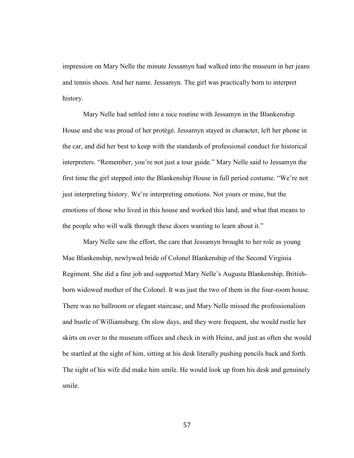impression on Mary Nelle the minute Jessamyn had walked into the museum in her jeans and tennis shoes. And her name. Jessamyn. The girl was practically born to interpret history.

Mary Nelle had settled into a nice routine with Jessamyn in the Blankenship House and she was proud of her protégé. Jessamyn stayed in character, left her phone in the car, and did her best to keep with the standards of professional conduct for historical interpreters. "Remember, you're not just a tour guide." Mary Nelle said to Jessamyn the first time the girl stepped into the Blankenship House in full period costume. "We're not just interpreting history. We're interpreting emotions. Not yours or mine, but the emotions of those who lived in this house and worked this land, and what that means to the people who will walk through these doors wanting to learn about it."

Mary Nelle saw the effort, the care that Jessamyn brought to her role as young Mae Blankenship, newlywed bride of Colonel Blankenship of the Second Virginia Regiment. She did a fine job and supported Mary Nelle's Augusta Blankenship, Britishborn widowed mother of the Colonel. It was just the two of them in the four-room house. There was no ballroom or elegant staircase, and Mary Nelle missed the professionalism and bustle of Williamsburg. On slow days, and they were frequent, she would rustle her skirts on over to the museum offices and check in with Heinz, and just as often she would be startled at the sight of him, sitting at his desk literally pushing pencils back and forth. The sight of his wife did make him smile. He would look up from his desk and genuinely smile.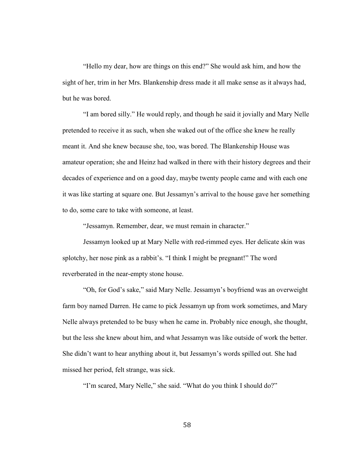"Hello my dear, how are things on this end?" She would ask him, and how the sight of her, trim in her Mrs. Blankenship dress made it all make sense as it always had, but he was bored.

"I am bored silly." He would reply, and though he said it jovially and Mary Nelle pretended to receive it as such, when she waked out of the office she knew he really meant it. And she knew because she, too, was bored. The Blankenship House was amateur operation; she and Heinz had walked in there with their history degrees and their decades of experience and on a good day, maybe twenty people came and with each one it was like starting at square one. But Jessamyn's arrival to the house gave her something to do, some care to take with someone, at least.

"Jessamyn. Remember, dear, we must remain in character."

Jessamyn looked up at Mary Nelle with red-rimmed eyes. Her delicate skin was splotchy, her nose pink as a rabbit's. "I think I might be pregnant!" The word reverberated in the near-empty stone house.

"Oh, for God's sake," said Mary Nelle. Jessamyn's boyfriend was an overweight farm boy named Darren. He came to pick Jessamyn up from work sometimes, and Mary Nelle always pretended to be busy when he came in. Probably nice enough, she thought, but the less she knew about him, and what Jessamyn was like outside of work the better. She didn't want to hear anything about it, but Jessamyn's words spilled out. She had missed her period, felt strange, was sick.

"I'm scared, Mary Nelle," she said. "What do you think I should do?"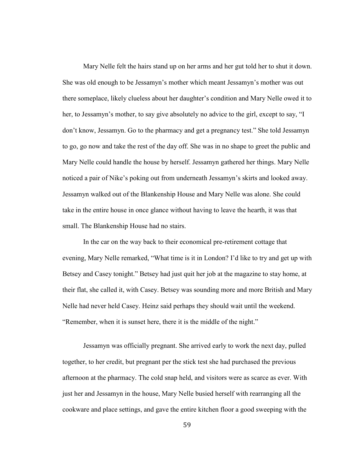Mary Nelle felt the hairs stand up on her arms and her gut told her to shut it down. She was old enough to be Jessamyn's mother which meant Jessamyn's mother was out there someplace, likely clueless about her daughter's condition and Mary Nelle owed it to her, to Jessamyn's mother, to say give absolutely no advice to the girl, except to say, "I don't know, Jessamyn. Go to the pharmacy and get a pregnancy test." She told Jessamyn to go, go now and take the rest of the day off. She was in no shape to greet the public and Mary Nelle could handle the house by herself. Jessamyn gathered her things. Mary Nelle noticed a pair of Nike's poking out from underneath Jessamyn's skirts and looked away. Jessamyn walked out of the Blankenship House and Mary Nelle was alone. She could take in the entire house in once glance without having to leave the hearth, it was that small. The Blankenship House had no stairs.

In the car on the way back to their economical pre-retirement cottage that evening, Mary Nelle remarked, "What time is it in London? I'd like to try and get up with Betsey and Casey tonight." Betsey had just quit her job at the magazine to stay home, at their flat, she called it, with Casey. Betsey was sounding more and more British and Mary Nelle had never held Casey. Heinz said perhaps they should wait until the weekend. "Remember, when it is sunset here, there it is the middle of the night."

Jessamyn was officially pregnant. She arrived early to work the next day, pulled together, to her credit, but pregnant per the stick test she had purchased the previous afternoon at the pharmacy. The cold snap held, and visitors were as scarce as ever. With just her and Jessamyn in the house, Mary Nelle busied herself with rearranging all the cookware and place settings, and gave the entire kitchen floor a good sweeping with the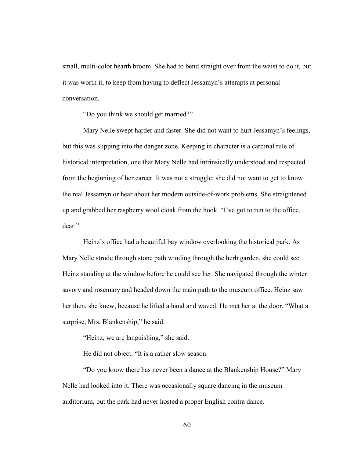small, multi-color hearth broom. She had to bend straight over from the waist to do it, but it was worth it, to keep from having to deflect Jessamyn's attempts at personal conversation.

"Do you think we should get married?"

Mary Nelle swept harder and faster. She did not want to hurt Jessamyn's feelings, but this was slipping into the danger zone. Keeping in character is a cardinal rule of historical interpretation, one that Mary Nelle had intrinsically understood and respected from the beginning of her career. It was not a struggle; she did not want to get to know the real Jessamyn or hear about her modern outside-of-work problems. She straightened up and grabbed her raspberry wool cloak from the hook. "I've got to run to the office, dear."

Heinz's office had a beautiful bay window overlooking the historical park. As Mary Nelle strode through stone path winding through the herb garden, she could see Heinz standing at the window before he could see her. She navigated through the winter savory and rosemary and headed down the main path to the museum office. Heinz saw her then, she knew, because he lifted a hand and waved. He met her at the door. "What a surprise, Mrs. Blankenship," he said.

"Heinz, we are languishing," she said.

He did not object. "It is a rather slow season.

"Do you know there has never been a dance at the Blankenship House?" Mary Nelle had looked into it. There was occasionally square dancing in the museum auditorium, but the park had never hosted a proper English contra dance.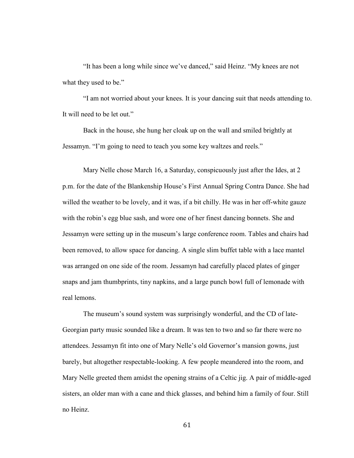"It has been a long while since we've danced," said Heinz. "My knees are not what they used to be."

"I am not worried about your knees. It is your dancing suit that needs attending to. It will need to be let out."

Back in the house, she hung her cloak up on the wall and smiled brightly at Jessamyn. "I'm going to need to teach you some key waltzes and reels."

Mary Nelle chose March 16, a Saturday, conspicuously just after the Ides, at 2 p.m. for the date of the Blankenship House's First Annual Spring Contra Dance. She had willed the weather to be lovely, and it was, if a bit chilly. He was in her off-white gauze with the robin's egg blue sash, and wore one of her finest dancing bonnets. She and Jessamyn were setting up in the museum's large conference room. Tables and chairs had been removed, to allow space for dancing. A single slim buffet table with a lace mantel was arranged on one side of the room. Jessamyn had carefully placed plates of ginger snaps and jam thumbprints, tiny napkins, and a large punch bowl full of lemonade with real lemons.

The museum's sound system was surprisingly wonderful, and the CD of late-Georgian party music sounded like a dream. It was ten to two and so far there were no attendees. Jessamyn fit into one of Mary Nelle's old Governor's mansion gowns, just barely, but altogether respectable-looking. A few people meandered into the room, and Mary Nelle greeted them amidst the opening strains of a Celtic jig. A pair of middle-aged sisters, an older man with a cane and thick glasses, and behind him a family of four. Still no Heinz.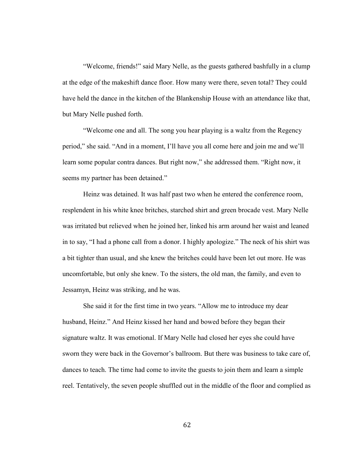"Welcome, friends!" said Mary Nelle, as the guests gathered bashfully in a clump at the edge of the makeshift dance floor. How many were there, seven total? They could have held the dance in the kitchen of the Blankenship House with an attendance like that, but Mary Nelle pushed forth.

"Welcome one and all. The song you hear playing is a waltz from the Regency period," she said. "And in a moment, I'll have you all come here and join me and we'll learn some popular contra dances. But right now," she addressed them. "Right now, it seems my partner has been detained."

Heinz was detained. It was half past two when he entered the conference room, resplendent in his white knee britches, starched shirt and green brocade vest. Mary Nelle was irritated but relieved when he joined her, linked his arm around her waist and leaned in to say, "I had a phone call from a donor. I highly apologize." The neck of his shirt was a bit tighter than usual, and she knew the britches could have been let out more. He was uncomfortable, but only she knew. To the sisters, the old man, the family, and even to Jessamyn, Heinz was striking, and he was.

She said it for the first time in two years. "Allow me to introduce my dear husband, Heinz." And Heinz kissed her hand and bowed before they began their signature waltz. It was emotional. If Mary Nelle had closed her eyes she could have sworn they were back in the Governor's ballroom. But there was business to take care of, dances to teach. The time had come to invite the guests to join them and learn a simple reel. Tentatively, the seven people shuffled out in the middle of the floor and complied as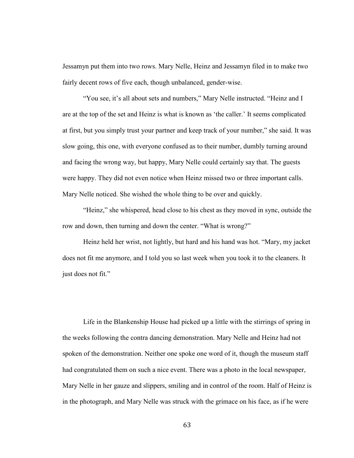Jessamyn put them into two rows. Mary Nelle, Heinz and Jessamyn filed in to make two fairly decent rows of five each, though unbalanced, gender-wise.

"You see, it's all about sets and numbers," Mary Nelle instructed. "Heinz and I are at the top of the set and Heinz is what is known as 'the caller.' It seems complicated at first, but you simply trust your partner and keep track of your number," she said. It was slow going, this one, with everyone confused as to their number, dumbly turning around and facing the wrong way, but happy, Mary Nelle could certainly say that. The guests were happy. They did not even notice when Heinz missed two or three important calls. Mary Nelle noticed. She wished the whole thing to be over and quickly.

"Heinz," she whispered, head close to his chest as they moved in sync, outside the row and down, then turning and down the center. "What is wrong?"

Heinz held her wrist, not lightly, but hard and his hand was hot. "Mary, my jacket does not fit me anymore, and I told you so last week when you took it to the cleaners. It just does not fit."

Life in the Blankenship House had picked up a little with the stirrings of spring in the weeks following the contra dancing demonstration. Mary Nelle and Heinz had not spoken of the demonstration. Neither one spoke one word of it, though the museum staff had congratulated them on such a nice event. There was a photo in the local newspaper, Mary Nelle in her gauze and slippers, smiling and in control of the room. Half of Heinz is in the photograph, and Mary Nelle was struck with the grimace on his face, as if he were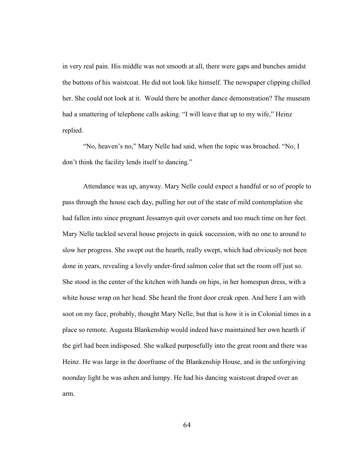in very real pain. His middle was not smooth at all, there were gaps and bunches amidst the buttons of his waistcoat. He did not look like himself. The newspaper clipping chilled her. She could not look at it. Would there be another dance demonstration? The museum had a smattering of telephone calls asking. "I will leave that up to my wife," Heinz replied.

"No, heaven's no," Mary Nelle had said, when the topic was broached. "No, I don't think the facility lends itself to dancing."

Attendance was up, anyway. Mary Nelle could expect a handful or so of people to pass through the house each day, pulling her out of the state of mild contemplation she had fallen into since pregnant Jessamyn quit over corsets and too much time on her feet. Mary Nelle tackled several house projects in quick succession, with no one to around to slow her progress. She swept out the hearth, really swept, which had obviously not been done in years, revealing a lovely under-fired salmon color that set the room off just so. She stood in the center of the kitchen with hands on hips, in her homespun dress, with a white house wrap on her head. She heard the front door creak open. And here I am with soot on my face, probably, thought Mary Nelle, but that is how it is in Colonial times in a place so remote. Augusta Blankenship would indeed have maintained her own hearth if the girl had been indisposed. She walked purposefully into the great room and there was Heinz. He was large in the doorframe of the Blankenship House, and in the unforgiving noonday light he was ashen and lumpy. He had his dancing waistcoat draped over an arm.